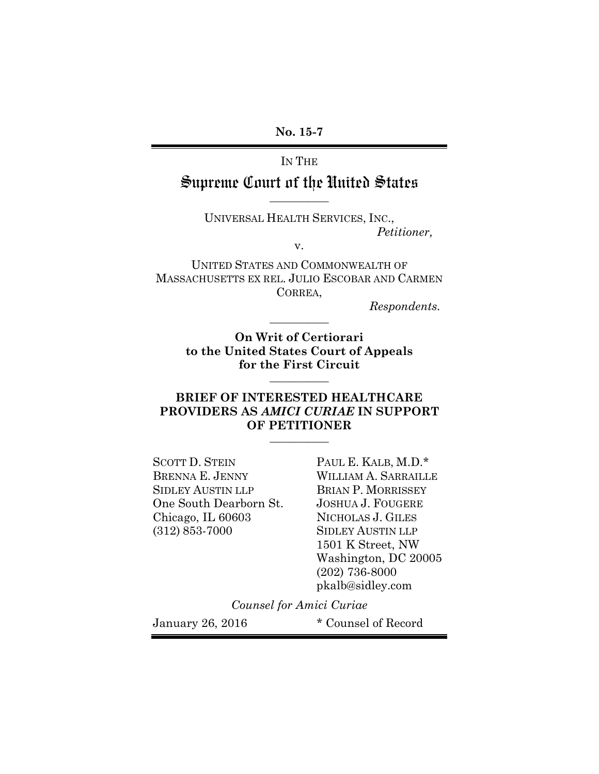## IN THE

## Supreme Court of the United States **\_\_\_\_\_\_\_\_\_\_\_**

UNIVERSAL HEALTH SERVICES, INC., *Petitioner,* 

v.

UNITED STATES AND COMMONWEALTH OF MASSACHUSETTS EX REL. JULIO ESCOBAR AND CARMEN CORREA,

*Respondents.*

**On Writ of Certiorari to the United States Court of Appeals for the First Circuit** 

**\_\_\_\_\_\_\_\_\_\_\_** 

**\_\_\_\_\_\_\_\_\_\_\_** 

## **BRIEF OF INTERESTED HEALTHCARE PROVIDERS AS** *AMICI CURIAE* **IN SUPPORT OF PETITIONER**

**\_\_\_\_\_\_\_\_\_\_\_** 

SCOTT D. STEIN PAUL E. KALB, M.D.\* BRENNA E. JENNY WILLIAM A. SARRAILLE SIDLEY AUSTIN LLP BRIAN P. MORRISSEY One South Dearborn St. JOSHUA J. FOUGERE Chicago, IL 60603 NICHOLAS J. GILES (312) 853-7000 SIDLEY AUSTIN LLP

 1501 K Street, NW Washington, DC 20005 (202) 736-8000 pkalb@sidley.com

*Counsel for Amici Curiae* 

January 26, 2016 \* Counsel of Record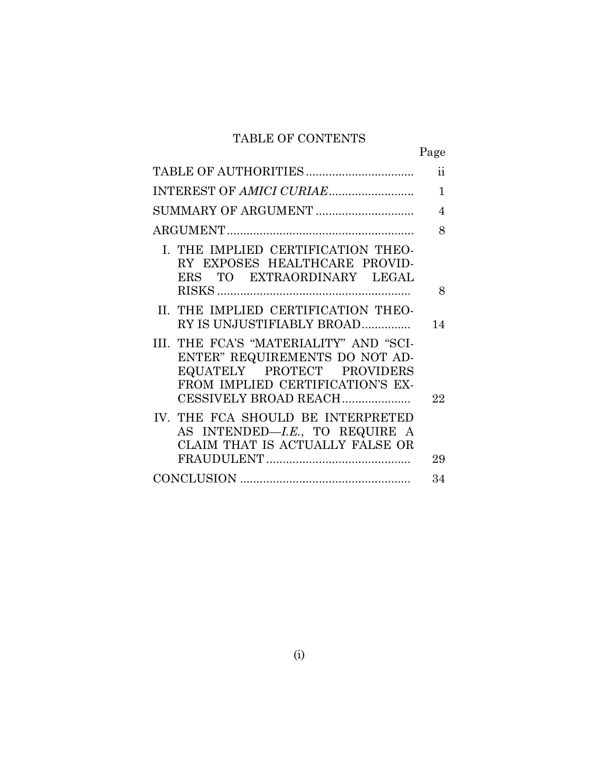# TABLE OF CONTENTS

|                                                                                                                                                                     | Page                |
|---------------------------------------------------------------------------------------------------------------------------------------------------------------------|---------------------|
|                                                                                                                                                                     | $\ddot{\textbf{i}}$ |
| INTEREST OF AMICI CURIAE                                                                                                                                            | $\mathbf{1}$        |
| SUMMARY OF ARGUMENT                                                                                                                                                 | 4                   |
|                                                                                                                                                                     | 8                   |
| I. THE IMPLIED CERTIFICATION THEO-<br>RY EXPOSES HEALTHCARE PROVID-<br>ERS TO EXTRAORDINARY LEGAL                                                                   | 8                   |
| II. THE IMPLIED CERTIFICATION THEO-<br>RY IS UNJUSTIFIABLY BROAD                                                                                                    | 14                  |
| III. THE FCA'S "MATERIALITY" AND "SCI-<br>ENTER" REQUIREMENTS DO NOT AD-<br>EQUATELY PROTECT PROVIDERS<br>FROM IMPLIED CERTIFICATION'S EX-<br>CESSIVELY BROAD REACH | 22                  |
| IV. THE FCA SHOULD BE INTERPRETED<br>AS INTENDED-LE., TO REQUIRE A<br>CLAIM THAT IS ACTUALLY FALSE OR                                                               | 29                  |
|                                                                                                                                                                     | 34                  |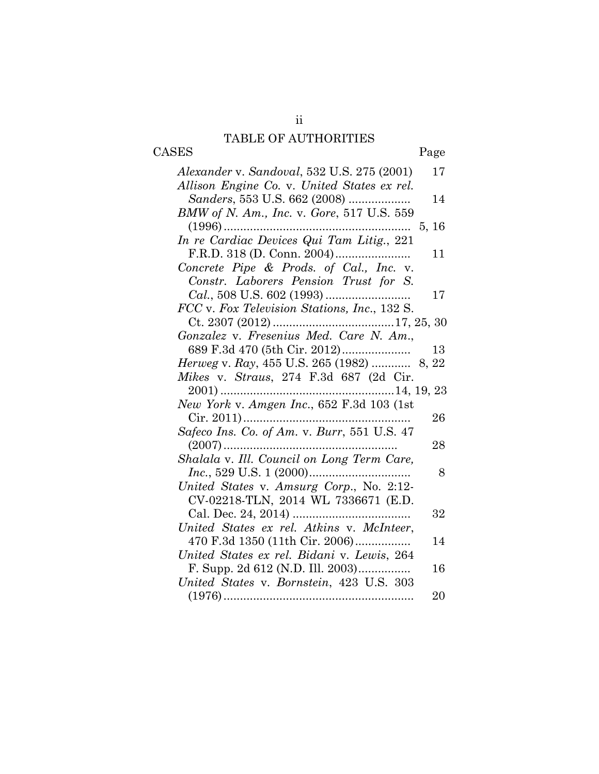# TABLE OF AUTHORITIES CASES Page

| Alexander v. Sandoval, 532 U.S. 275 (2001)   | 17     |
|----------------------------------------------|--------|
| Allison Engine Co. v. United States ex rel.  |        |
| Sanders, 553 U.S. 662 (2008)                 | 14     |
| BMW of N. Am., Inc. v. Gore, 517 U.S. 559    |        |
| $(1996)$                                     |        |
| In re Cardiac Devices Qui Tam Litig., 221    |        |
|                                              | 11     |
| Concrete Pipe & Prods. of Cal., Inc. v.      |        |
| Constr. Laborers Pension Trust for S.        |        |
|                                              | 17     |
| FCC v. Fox Television Stations, Inc., 132 S. |        |
|                                              |        |
| Gonzalez v. Fresenius Med. Care N. Am.,      |        |
| 689 F.3d 470 (5th Cir. 2012)                 | 13     |
| Herweg v. Ray, 455 U.S. 265 (1982)  8, 22    |        |
| Mikes v. Straus, 274 F.3d 687 (2d Cir.       |        |
|                                              |        |
| New York v. Amgen Inc., 652 F.3d 103 (1st    |        |
|                                              |        |
|                                              | $26\,$ |
| Safeco Ins. Co. of Am. v. Burr, 551 U.S. 47  |        |
| $(2007)$                                     | 28     |
| Shalala v. Ill. Council on Long Term Care,   |        |
| <i>Inc.</i> , 529 U.S. 1 $(2000)$            | 8      |
| United States v. Amsurg Corp., No. 2:12-     |        |
| CV-02218-TLN, 2014 WL 7336671 (E.D.          |        |
|                                              | 32     |
| United States ex rel. Atkins v. McInteer,    |        |
| 470 F.3d 1350 (11th Cir. 2006)               | 14     |
| United States ex rel. Bidani v. Lewis, 264   |        |
| F. Supp. 2d 612 (N.D. Ill. 2003)             | 16     |
| United States v. Bornstein, 423 U.S. 303     |        |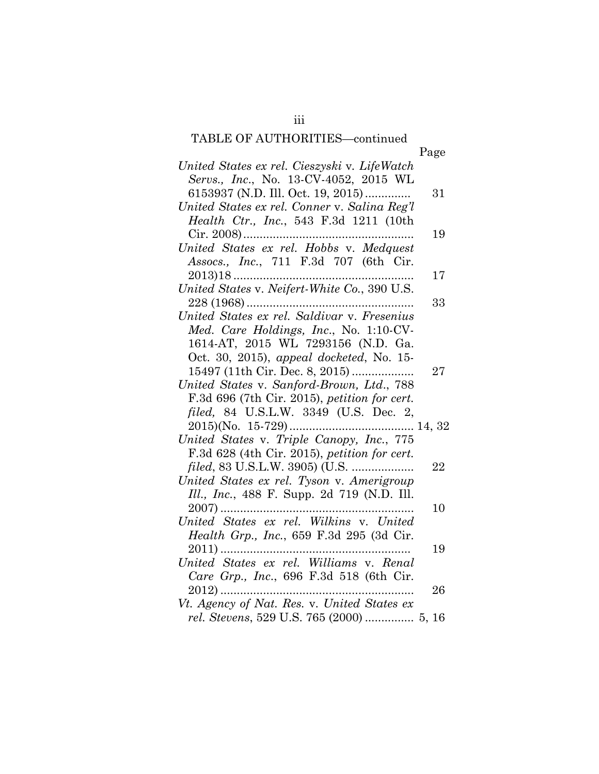# TABLE OF AUTHORITIES—continued

| United States ex rel. Cieszyski v. LifeWatch<br>Servs., Inc., No. 13-CV-4052, 2015 WL<br>6153937 (N.D. Ill. Oct. 19, 2015)<br>31<br>United States ex rel. Conner v. Salina Reg'l<br>Health Ctr., Inc., 543 F.3d 1211 (10th<br>19<br>United States ex rel. Hobbs v. Medquest<br>Assocs., Inc., 711 F.3d 707 (6th Cir.<br>17<br>United States v. Neifert-White Co., 390 U.S.<br>33<br>United States ex rel. Saldivar v. Fresenius<br>Med. Care Holdings, Inc., No. 1:10-CV-<br>1614-AT, 2015 WL 7293156 (N.D. Ga.<br>Oct. 30, 2015), appeal docketed, No. 15-<br>15497 (11th Cir. Dec. 8, 2015)<br>27<br>United States v. Sanford-Brown, Ltd., 788<br>F.3d 696 (7th Cir. 2015), petition for cert.<br>filed, 84 U.S.L.W. 3349 (U.S. Dec. 2,<br>United States v. Triple Canopy, Inc., 775<br>F.3d 628 (4th Cir. 2015), petition for cert.<br><i>filed</i> , 83 U.S.L.W. 3905) (U.S.<br>22<br>United States ex rel. Tyson v. Amerigroup<br>Ill., Inc., 488 F. Supp. 2d 719 (N.D. Ill.<br>$2007)$<br>10<br>United States ex rel. Wilkins v. United<br>Health Grp., Inc., 659 F.3d 295 (3d Cir.<br>19<br>United States ex rel. Williams v. Renal |                                             | Page |
|--------------------------------------------------------------------------------------------------------------------------------------------------------------------------------------------------------------------------------------------------------------------------------------------------------------------------------------------------------------------------------------------------------------------------------------------------------------------------------------------------------------------------------------------------------------------------------------------------------------------------------------------------------------------------------------------------------------------------------------------------------------------------------------------------------------------------------------------------------------------------------------------------------------------------------------------------------------------------------------------------------------------------------------------------------------------------------------------------------------------------------------------|---------------------------------------------|------|
|                                                                                                                                                                                                                                                                                                                                                                                                                                                                                                                                                                                                                                                                                                                                                                                                                                                                                                                                                                                                                                                                                                                                            |                                             |      |
|                                                                                                                                                                                                                                                                                                                                                                                                                                                                                                                                                                                                                                                                                                                                                                                                                                                                                                                                                                                                                                                                                                                                            |                                             |      |
|                                                                                                                                                                                                                                                                                                                                                                                                                                                                                                                                                                                                                                                                                                                                                                                                                                                                                                                                                                                                                                                                                                                                            |                                             |      |
|                                                                                                                                                                                                                                                                                                                                                                                                                                                                                                                                                                                                                                                                                                                                                                                                                                                                                                                                                                                                                                                                                                                                            |                                             |      |
|                                                                                                                                                                                                                                                                                                                                                                                                                                                                                                                                                                                                                                                                                                                                                                                                                                                                                                                                                                                                                                                                                                                                            |                                             |      |
|                                                                                                                                                                                                                                                                                                                                                                                                                                                                                                                                                                                                                                                                                                                                                                                                                                                                                                                                                                                                                                                                                                                                            |                                             |      |
|                                                                                                                                                                                                                                                                                                                                                                                                                                                                                                                                                                                                                                                                                                                                                                                                                                                                                                                                                                                                                                                                                                                                            |                                             |      |
|                                                                                                                                                                                                                                                                                                                                                                                                                                                                                                                                                                                                                                                                                                                                                                                                                                                                                                                                                                                                                                                                                                                                            |                                             |      |
|                                                                                                                                                                                                                                                                                                                                                                                                                                                                                                                                                                                                                                                                                                                                                                                                                                                                                                                                                                                                                                                                                                                                            |                                             |      |
|                                                                                                                                                                                                                                                                                                                                                                                                                                                                                                                                                                                                                                                                                                                                                                                                                                                                                                                                                                                                                                                                                                                                            |                                             |      |
|                                                                                                                                                                                                                                                                                                                                                                                                                                                                                                                                                                                                                                                                                                                                                                                                                                                                                                                                                                                                                                                                                                                                            |                                             |      |
|                                                                                                                                                                                                                                                                                                                                                                                                                                                                                                                                                                                                                                                                                                                                                                                                                                                                                                                                                                                                                                                                                                                                            |                                             |      |
|                                                                                                                                                                                                                                                                                                                                                                                                                                                                                                                                                                                                                                                                                                                                                                                                                                                                                                                                                                                                                                                                                                                                            |                                             |      |
|                                                                                                                                                                                                                                                                                                                                                                                                                                                                                                                                                                                                                                                                                                                                                                                                                                                                                                                                                                                                                                                                                                                                            |                                             |      |
|                                                                                                                                                                                                                                                                                                                                                                                                                                                                                                                                                                                                                                                                                                                                                                                                                                                                                                                                                                                                                                                                                                                                            |                                             |      |
|                                                                                                                                                                                                                                                                                                                                                                                                                                                                                                                                                                                                                                                                                                                                                                                                                                                                                                                                                                                                                                                                                                                                            |                                             |      |
|                                                                                                                                                                                                                                                                                                                                                                                                                                                                                                                                                                                                                                                                                                                                                                                                                                                                                                                                                                                                                                                                                                                                            |                                             |      |
|                                                                                                                                                                                                                                                                                                                                                                                                                                                                                                                                                                                                                                                                                                                                                                                                                                                                                                                                                                                                                                                                                                                                            |                                             |      |
|                                                                                                                                                                                                                                                                                                                                                                                                                                                                                                                                                                                                                                                                                                                                                                                                                                                                                                                                                                                                                                                                                                                                            |                                             |      |
|                                                                                                                                                                                                                                                                                                                                                                                                                                                                                                                                                                                                                                                                                                                                                                                                                                                                                                                                                                                                                                                                                                                                            |                                             |      |
|                                                                                                                                                                                                                                                                                                                                                                                                                                                                                                                                                                                                                                                                                                                                                                                                                                                                                                                                                                                                                                                                                                                                            |                                             |      |
|                                                                                                                                                                                                                                                                                                                                                                                                                                                                                                                                                                                                                                                                                                                                                                                                                                                                                                                                                                                                                                                                                                                                            |                                             |      |
|                                                                                                                                                                                                                                                                                                                                                                                                                                                                                                                                                                                                                                                                                                                                                                                                                                                                                                                                                                                                                                                                                                                                            |                                             |      |
|                                                                                                                                                                                                                                                                                                                                                                                                                                                                                                                                                                                                                                                                                                                                                                                                                                                                                                                                                                                                                                                                                                                                            |                                             |      |
|                                                                                                                                                                                                                                                                                                                                                                                                                                                                                                                                                                                                                                                                                                                                                                                                                                                                                                                                                                                                                                                                                                                                            |                                             |      |
|                                                                                                                                                                                                                                                                                                                                                                                                                                                                                                                                                                                                                                                                                                                                                                                                                                                                                                                                                                                                                                                                                                                                            |                                             |      |
|                                                                                                                                                                                                                                                                                                                                                                                                                                                                                                                                                                                                                                                                                                                                                                                                                                                                                                                                                                                                                                                                                                                                            |                                             |      |
|                                                                                                                                                                                                                                                                                                                                                                                                                                                                                                                                                                                                                                                                                                                                                                                                                                                                                                                                                                                                                                                                                                                                            |                                             |      |
|                                                                                                                                                                                                                                                                                                                                                                                                                                                                                                                                                                                                                                                                                                                                                                                                                                                                                                                                                                                                                                                                                                                                            |                                             |      |
|                                                                                                                                                                                                                                                                                                                                                                                                                                                                                                                                                                                                                                                                                                                                                                                                                                                                                                                                                                                                                                                                                                                                            |                                             |      |
| Care Grp., Inc., 696 F.3d 518 (6th Cir.                                                                                                                                                                                                                                                                                                                                                                                                                                                                                                                                                                                                                                                                                                                                                                                                                                                                                                                                                                                                                                                                                                    |                                             |      |
| $2012)$<br>26                                                                                                                                                                                                                                                                                                                                                                                                                                                                                                                                                                                                                                                                                                                                                                                                                                                                                                                                                                                                                                                                                                                              |                                             |      |
|                                                                                                                                                                                                                                                                                                                                                                                                                                                                                                                                                                                                                                                                                                                                                                                                                                                                                                                                                                                                                                                                                                                                            | Vt. Agency of Nat. Res. v. United States ex |      |
| rel. Stevens, 529 U.S. 765 (2000)  5, 16                                                                                                                                                                                                                                                                                                                                                                                                                                                                                                                                                                                                                                                                                                                                                                                                                                                                                                                                                                                                                                                                                                   |                                             |      |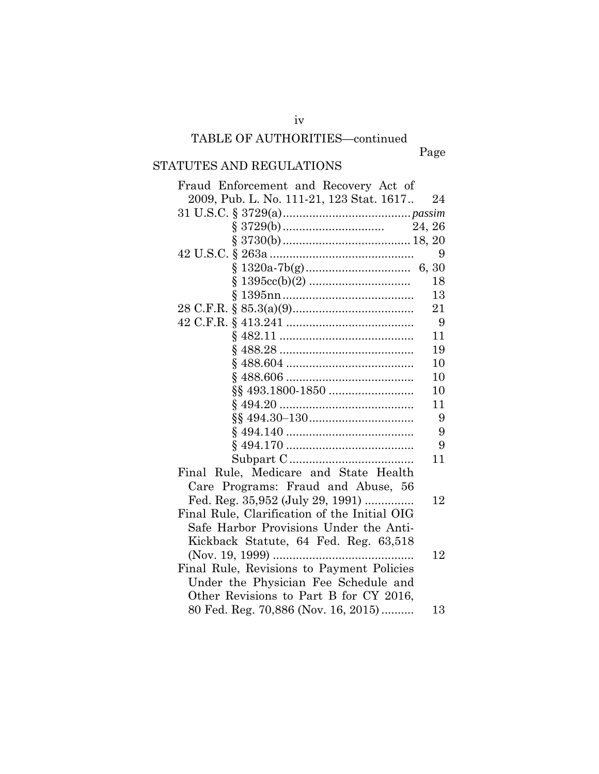# TABLE OF AUTHORITIES—continued

iv

Page

# STATUTES AND REGULATIONS

| Fraud Enforcement and Recovery Act of        |    |
|----------------------------------------------|----|
| 2009, Pub. L. No. 111-21, 123 Stat. 1617     | 24 |
|                                              |    |
|                                              |    |
|                                              |    |
|                                              | 9  |
|                                              |    |
|                                              | 18 |
|                                              | 13 |
|                                              | 21 |
|                                              | 9  |
|                                              | 11 |
|                                              | 19 |
|                                              | 10 |
|                                              | 10 |
|                                              | 10 |
|                                              | 11 |
|                                              | 9  |
|                                              | 9  |
|                                              | 9  |
|                                              | 11 |
| Final Rule, Medicare and State Health        |    |
| Care Programs: Fraud and Abuse, 56           |    |
| Fed. Reg. 35,952 (July 29, 1991)             | 12 |
| Final Rule, Clarification of the Initial OIG |    |
| Safe Harbor Provisions Under the Anti-       |    |
| Kickback Statute, 64 Fed. Reg. 63,518        |    |
|                                              | 12 |
| Final Rule, Revisions to Payment Policies    |    |
| Under the Physician Fee Schedule and         |    |
| Other Revisions to Part B for CY 2016,       |    |
| 80 Fed. Reg. 70,886 (Nov. 16, 2015)          | 13 |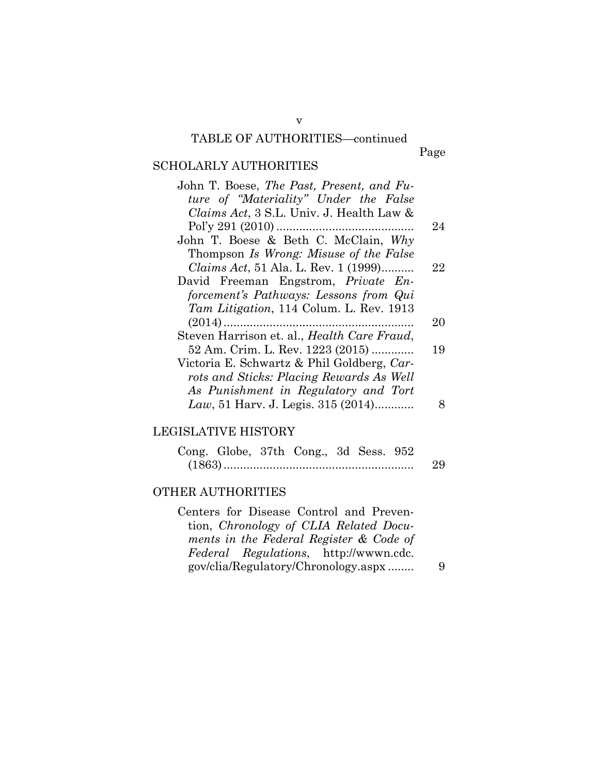## v TABLE OF AUTHORITIES—continued

Page

# SCHOLARLY AUTHORITIES

| John T. Boese, The Past, Present, and Fu-           |    |
|-----------------------------------------------------|----|
| ture of "Materiality" Under the False               |    |
| Claims Act, 3 S.L. Univ. J. Health Law &            |    |
|                                                     | 24 |
| John T. Boese & Beth C. McClain, $Why$              |    |
| Thompson Is Wrong: Misuse of the False              |    |
| <i>Claims Act</i> , 51 Ala. L. Rev. 1 (1999)        | 22 |
| David Freeman Engstrom, Private En-                 |    |
| forcement's Pathways: Lessons from Qui              |    |
| Tam Litigation, 114 Colum. L. Rev. 1913             |    |
|                                                     | 20 |
| Steven Harrison et. al., <i>Health Care Fraud</i> , |    |
| 52 Am. Crim. L. Rev. 1223 (2015)                    | 19 |
| Victoria E. Schwartz & Phil Goldberg, Car-          |    |
| rots and Sticks: Placing Rewards As Well            |    |
| As Punishment in Regulatory and Tort                |    |
| Law, 51 Harv. J. Legis. 315 $(2014)$                |    |

## LEGISLATIVE HISTORY

|  | Cong. Globe, 37th Cong., 3d Sess. 952 |  |    |
|--|---------------------------------------|--|----|
|  |                                       |  | 29 |

### OTHER AUTHORITIES

Centers for Disease Control and Prevention, *Chronology of CLIA Related Documents in the Federal Register & Code of Federal Regulations*, http://wwwn.cdc. gov/clia/Regulatory/Chronology.aspx ........ 9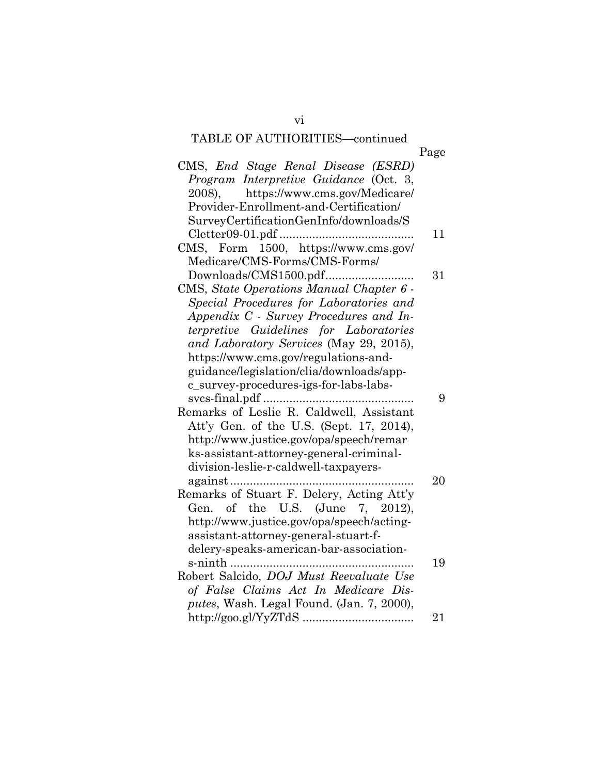# TABLE OF AUTHORITIES—continued

vi

| Page |                                           |
|------|-------------------------------------------|
|      | CMS, End Stage Renal Disease (ESRD)       |
|      | Program Interpretive Guidance (Oct. 3,    |
|      | https://www.cms.gov/Medicare/<br>2008).   |
|      | Provider-Enrollment-and-Certification/    |
|      | SurveyCertificationGenInfo/downloads/S    |
| 11   |                                           |
|      | CMS, Form 1500, https://www.cms.gov/      |
|      | Medicare/CMS-Forms/CMS-Forms/             |
| 31   |                                           |
|      | CMS, State Operations Manual Chapter 6 -  |
|      | Special Procedures for Laboratories and   |
|      | Appendix C - Survey Procedures and In-    |
|      | terpretive Guidelines for Laboratories    |
|      | and Laboratory Services (May 29, 2015),   |
|      | https://www.cms.gov/regulations-and-      |
|      | guidance/legislation/clia/downloads/app-  |
|      | c_survey-procedures-igs-for-labs-labs-    |
| 9    |                                           |
|      | Remarks of Leslie R. Caldwell, Assistant  |
|      | Att'y Gen. of the U.S. (Sept. 17, 2014),  |
|      | http://www.justice.gov/opa/speech/remar   |
|      | ks-assistant-attorney-general-criminal-   |
|      | division-leslie-r-caldwell-taxpayers-     |
| 20   |                                           |
|      | Remarks of Stuart F. Delery, Acting Att'y |
|      | Gen. of the U.S. (June 7, 2012),          |
|      | http://www.justice.gov/opa/speech/acting- |
|      | assistant-attorney-general-stuart-f-      |
|      | delery-speaks-american-bar-association-   |
| 19   | s-ninth                                   |
|      | Robert Salcido, DOJ Must Reevaluate Use   |
|      | of False Claims Act In Medicare Dis-      |
|      | putes, Wash. Legal Found. (Jan. 7, 2000), |
| 21   |                                           |
|      |                                           |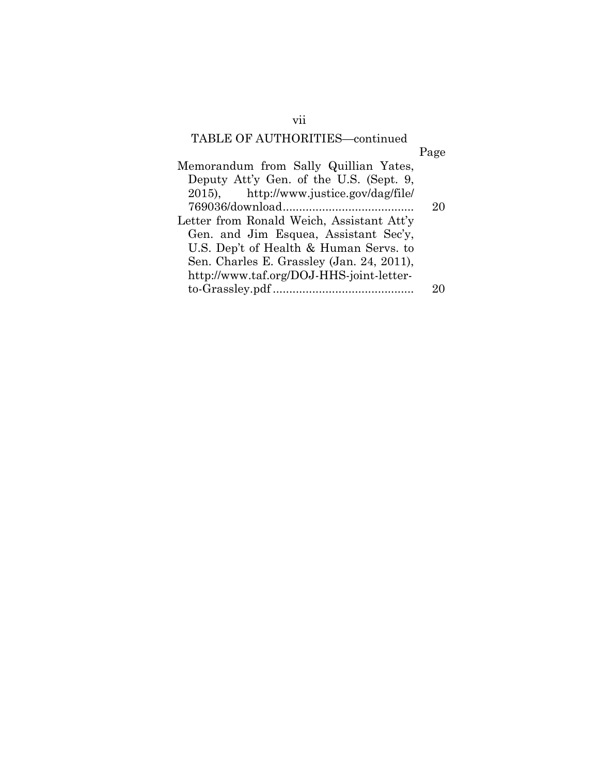# TABLE OF AUTHORITIES—continued

| Page |
|------|
|      |
|      |
|      |
| 20   |
|      |
|      |
|      |
|      |
|      |
|      |
|      |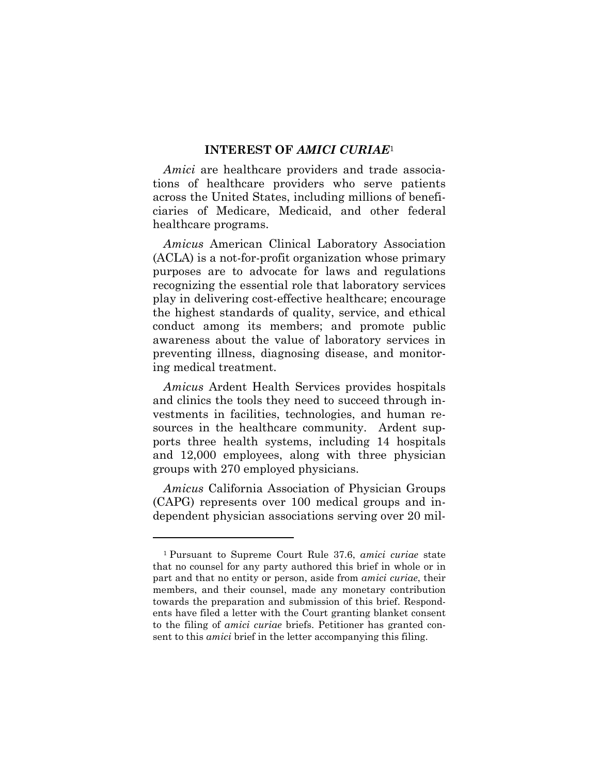#### **INTEREST OF** *AMICI CURIAE*<sup>1</sup>

*Amici* are healthcare providers and trade associations of healthcare providers who serve patients across the United States, including millions of beneficiaries of Medicare, Medicaid, and other federal healthcare programs.

*Amicus* American Clinical Laboratory Association (ACLA) is a not-for-profit organization whose primary purposes are to advocate for laws and regulations recognizing the essential role that laboratory services play in delivering cost-effective healthcare; encourage the highest standards of quality, service, and ethical conduct among its members; and promote public awareness about the value of laboratory services in preventing illness, diagnosing disease, and monitoring medical treatment.

*Amicus* Ardent Health Services provides hospitals and clinics the tools they need to succeed through investments in facilities, technologies, and human resources in the healthcare community. Ardent supports three health systems, including 14 hospitals and 12,000 employees, along with three physician groups with 270 employed physicians.

*Amicus* California Association of Physician Groups (CAPG) represents over 100 medical groups and independent physician associations serving over 20 mil-

<sup>1</sup> Pursuant to Supreme Court Rule 37.6, *amici curiae* state that no counsel for any party authored this brief in whole or in part and that no entity or person, aside from *amici curiae*, their members, and their counsel, made any monetary contribution towards the preparation and submission of this brief. Respondents have filed a letter with the Court granting blanket consent to the filing of *amici curiae* briefs. Petitioner has granted consent to this *amici* brief in the letter accompanying this filing.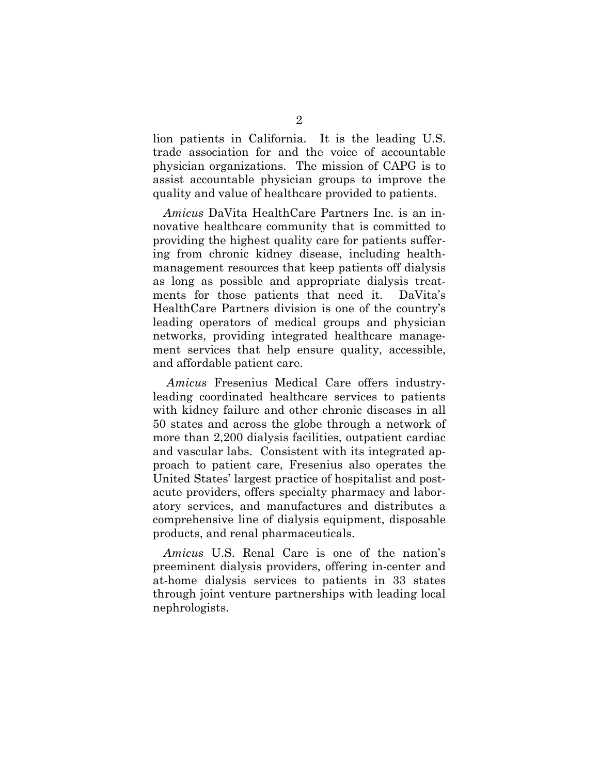lion patients in California. It is the leading U.S. trade association for and the voice of accountable physician organizations. The mission of CAPG is to assist accountable physician groups to improve the quality and value of healthcare provided to patients.

*Amicus* DaVita HealthCare Partners Inc. is an innovative healthcare community that is committed to providing the highest quality care for patients suffering from chronic kidney disease, including healthmanagement resources that keep patients off dialysis as long as possible and appropriate dialysis treatments for those patients that need it. DaVita's HealthCare Partners division is one of the country's leading operators of medical groups and physician networks, providing integrated healthcare management services that help ensure quality, accessible, and affordable patient care.

*Amicus* Fresenius Medical Care offers industryleading coordinated healthcare services to patients with kidney failure and other chronic diseases in all 50 states and across the globe through a network of more than 2,200 dialysis facilities, outpatient cardiac and vascular labs. Consistent with its integrated approach to patient care, Fresenius also operates the United States' largest practice of hospitalist and postacute providers, offers specialty pharmacy and laboratory services, and manufactures and distributes a comprehensive line of dialysis equipment, disposable products, and renal pharmaceuticals.

*Amicus* U.S. Renal Care is one of the nation's preeminent dialysis providers, offering in-center and at-home dialysis services to patients in 33 states through joint venture partnerships with leading local nephrologists.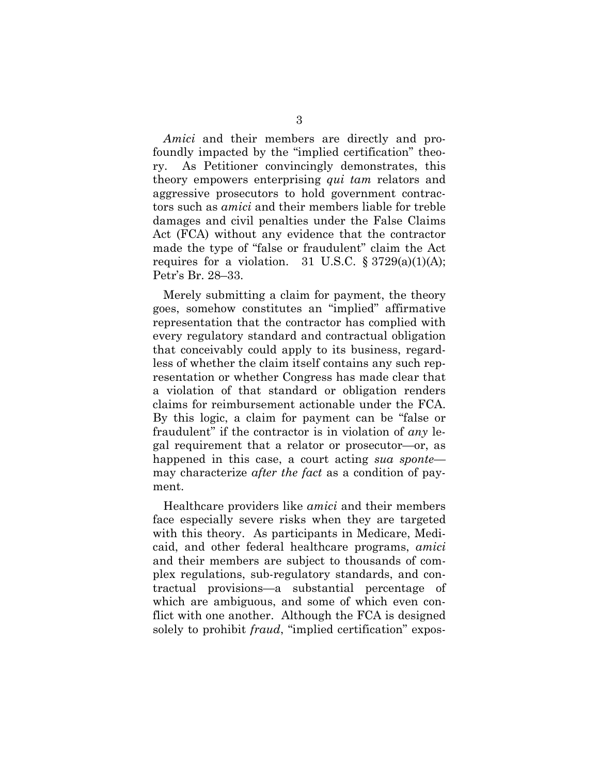*Amici* and their members are directly and profoundly impacted by the "implied certification" theory. As Petitioner convincingly demonstrates, this theory empowers enterprising *qui tam* relators and aggressive prosecutors to hold government contractors such as *amici* and their members liable for treble damages and civil penalties under the False Claims Act (FCA) without any evidence that the contractor made the type of "false or fraudulent" claim the Act requires for a violation. 31 U.S.C.  $\S 3729(a)(1)(A);$ Petr's Br. 28–33.

Merely submitting a claim for payment, the theory goes, somehow constitutes an "implied" affirmative representation that the contractor has complied with every regulatory standard and contractual obligation that conceivably could apply to its business, regardless of whether the claim itself contains any such representation or whether Congress has made clear that a violation of that standard or obligation renders claims for reimbursement actionable under the FCA. By this logic, a claim for payment can be "false or fraudulent" if the contractor is in violation of *any* legal requirement that a relator or prosecutor—or, as happened in this case, a court acting *sua sponte* may characterize *after the fact* as a condition of payment.

Healthcare providers like *amici* and their members face especially severe risks when they are targeted with this theory. As participants in Medicare, Medicaid, and other federal healthcare programs, *amici* and their members are subject to thousands of complex regulations, sub-regulatory standards, and contractual provisions—a substantial percentage of which are ambiguous, and some of which even conflict with one another. Although the FCA is designed solely to prohibit *fraud*, "implied certification" expos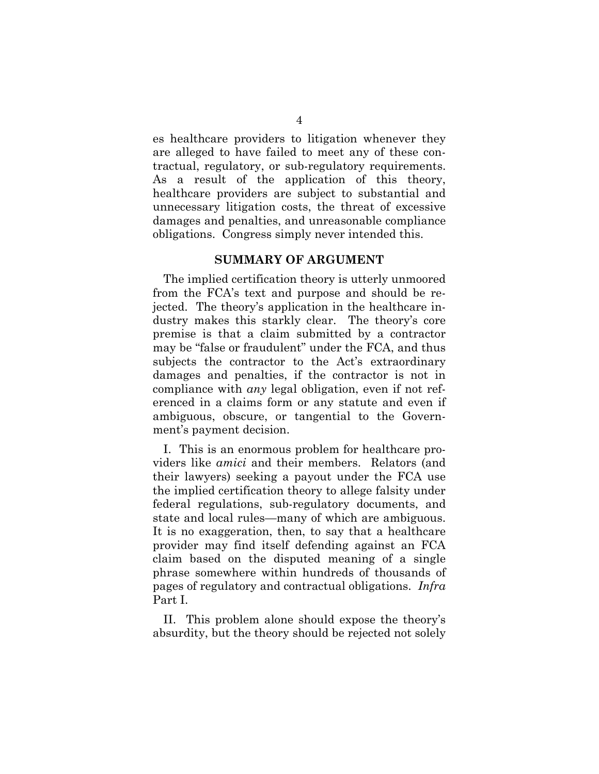es healthcare providers to litigation whenever they are alleged to have failed to meet any of these contractual, regulatory, or sub-regulatory requirements. As a result of the application of this theory, healthcare providers are subject to substantial and unnecessary litigation costs, the threat of excessive damages and penalties, and unreasonable compliance obligations. Congress simply never intended this.

### **SUMMARY OF ARGUMENT**

The implied certification theory is utterly unmoored from the FCA's text and purpose and should be rejected. The theory's application in the healthcare industry makes this starkly clear. The theory's core premise is that a claim submitted by a contractor may be "false or fraudulent" under the FCA, and thus subjects the contractor to the Act's extraordinary damages and penalties, if the contractor is not in compliance with *any* legal obligation, even if not referenced in a claims form or any statute and even if ambiguous, obscure, or tangential to the Government's payment decision.

I. This is an enormous problem for healthcare providers like *amici* and their members. Relators (and their lawyers) seeking a payout under the FCA use the implied certification theory to allege falsity under federal regulations, sub-regulatory documents, and state and local rules—many of which are ambiguous. It is no exaggeration, then, to say that a healthcare provider may find itself defending against an FCA claim based on the disputed meaning of a single phrase somewhere within hundreds of thousands of pages of regulatory and contractual obligations. *Infra* Part I.

II. This problem alone should expose the theory's absurdity, but the theory should be rejected not solely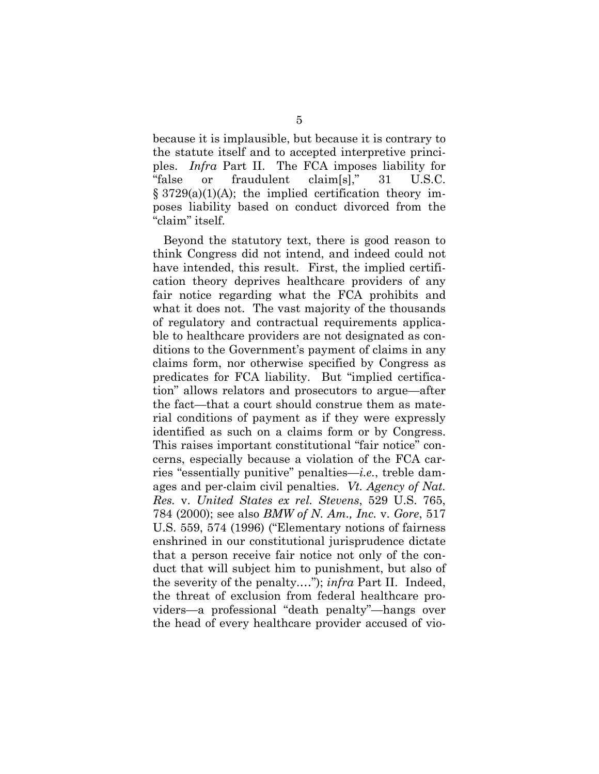because it is implausible, but because it is contrary to the statute itself and to accepted interpretive principles. *Infra* Part II. The FCA imposes liability for "false or fraudulent claim[s]," 31 U.S.C.  $\S 3729(a)(1)(A);$  the implied certification theory imposes liability based on conduct divorced from the "claim" itself.

Beyond the statutory text, there is good reason to think Congress did not intend, and indeed could not have intended, this result. First, the implied certification theory deprives healthcare providers of any fair notice regarding what the FCA prohibits and what it does not. The vast majority of the thousands of regulatory and contractual requirements applicable to healthcare providers are not designated as conditions to the Government's payment of claims in any claims form, nor otherwise specified by Congress as predicates for FCA liability. But "implied certification" allows relators and prosecutors to argue—after the fact—that a court should construe them as material conditions of payment as if they were expressly identified as such on a claims form or by Congress. This raises important constitutional "fair notice" concerns, especially because a violation of the FCA carries "essentially punitive" penalties—*i.e.*, treble damages and per-claim civil penalties. *Vt. Agency of Nat. Res.* v. *United States ex rel. Stevens*, 529 U.S. 765, 784 (2000); see also *BMW of N. Am., Inc.* v. *Gore*, 517 U.S. 559, 574 (1996) ("Elementary notions of fairness enshrined in our constitutional jurisprudence dictate that a person receive fair notice not only of the conduct that will subject him to punishment, but also of the severity of the penalty.…"); *infra* Part II. Indeed, the threat of exclusion from federal healthcare providers—a professional "death penalty"—hangs over the head of every healthcare provider accused of vio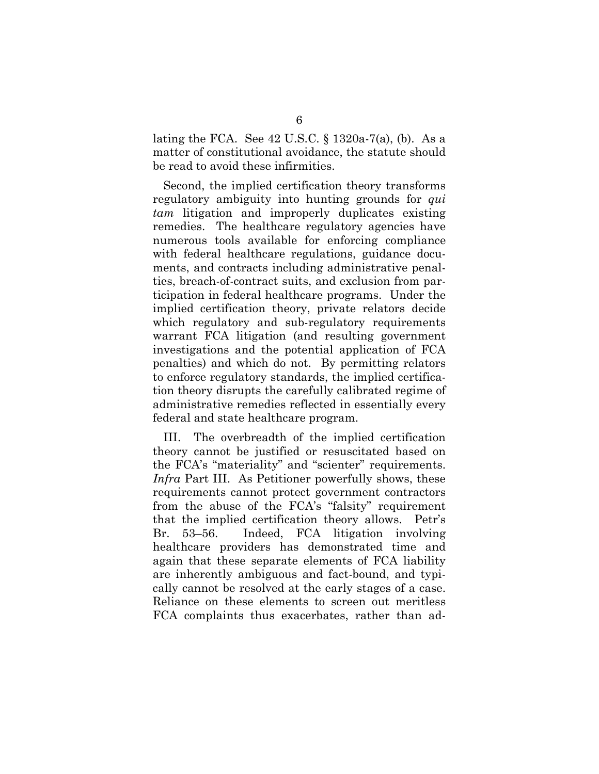lating the FCA. See 42 U.S.C. § 1320a-7(a), (b). As a matter of constitutional avoidance, the statute should be read to avoid these infirmities.

Second, the implied certification theory transforms regulatory ambiguity into hunting grounds for *qui tam* litigation and improperly duplicates existing remedies. The healthcare regulatory agencies have numerous tools available for enforcing compliance with federal healthcare regulations, guidance documents, and contracts including administrative penalties, breach-of-contract suits, and exclusion from participation in federal healthcare programs. Under the implied certification theory, private relators decide which regulatory and sub-regulatory requirements warrant FCA litigation (and resulting government investigations and the potential application of FCA penalties) and which do not. By permitting relators to enforce regulatory standards, the implied certification theory disrupts the carefully calibrated regime of administrative remedies reflected in essentially every federal and state healthcare program.

III. The overbreadth of the implied certification theory cannot be justified or resuscitated based on the FCA's "materiality" and "scienter" requirements. *Infra* Part III. As Petitioner powerfully shows, these requirements cannot protect government contractors from the abuse of the FCA's "falsity" requirement that the implied certification theory allows. Petr's Br. 53–56. Indeed, FCA litigation involving healthcare providers has demonstrated time and again that these separate elements of FCA liability are inherently ambiguous and fact-bound, and typically cannot be resolved at the early stages of a case. Reliance on these elements to screen out meritless FCA complaints thus exacerbates, rather than ad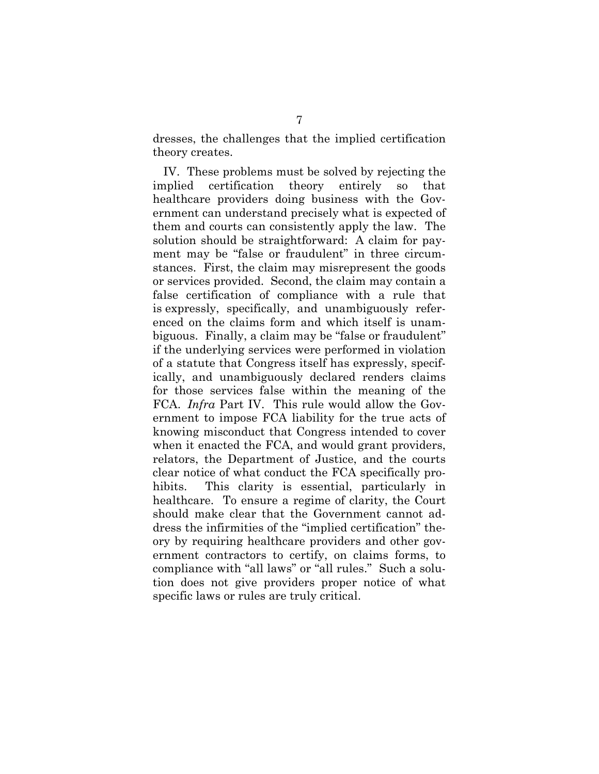dresses, the challenges that the implied certification theory creates.

IV. These problems must be solved by rejecting the implied certification theory entirely so that healthcare providers doing business with the Government can understand precisely what is expected of them and courts can consistently apply the law. The solution should be straightforward: A claim for payment may be "false or fraudulent" in three circumstances. First, the claim may misrepresent the goods or services provided. Second, the claim may contain a false certification of compliance with a rule that is expressly, specifically, and unambiguously referenced on the claims form and which itself is unambiguous. Finally, a claim may be "false or fraudulent" if the underlying services were performed in violation of a statute that Congress itself has expressly, specifically, and unambiguously declared renders claims for those services false within the meaning of the FCA. *Infra* Part IV. This rule would allow the Government to impose FCA liability for the true acts of knowing misconduct that Congress intended to cover when it enacted the FCA, and would grant providers, relators, the Department of Justice, and the courts clear notice of what conduct the FCA specifically prohibits. This clarity is essential, particularly in healthcare. To ensure a regime of clarity, the Court should make clear that the Government cannot address the infirmities of the "implied certification" theory by requiring healthcare providers and other government contractors to certify, on claims forms, to compliance with "all laws" or "all rules." Such a solution does not give providers proper notice of what specific laws or rules are truly critical.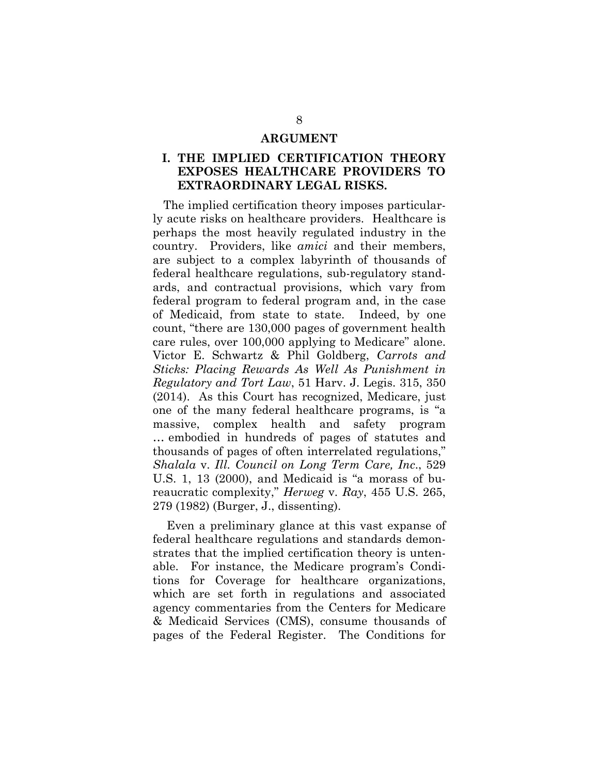#### **ARGUMENT**

### **I. THE IMPLIED CERTIFICATION THEORY EXPOSES HEALTHCARE PROVIDERS TO EXTRAORDINARY LEGAL RISKS.**

The implied certification theory imposes particularly acute risks on healthcare providers. Healthcare is perhaps the most heavily regulated industry in the country. Providers, like *amici* and their members, are subject to a complex labyrinth of thousands of federal healthcare regulations, sub-regulatory standards, and contractual provisions, which vary from federal program to federal program and, in the case of Medicaid, from state to state. Indeed, by one count, "there are 130,000 pages of government health care rules, over 100,000 applying to Medicare" alone. Victor E. Schwartz & Phil Goldberg, *Carrots and Sticks: Placing Rewards As Well As Punishment in Regulatory and Tort Law*, 51 Harv. J. Legis. 315, 350 (2014). As this Court has recognized, Medicare, just one of the many federal healthcare programs, is "a massive, complex health and safety program … embodied in hundreds of pages of statutes and thousands of pages of often interrelated regulations," *Shalala* v. *Ill. Council on Long Term Care, Inc*., 529 U.S. 1, 13 (2000), and Medicaid is "a morass of bureaucratic complexity," *Herweg* v. *Ray*, 455 U.S. 265, 279 (1982) (Burger, J., dissenting).

 Even a preliminary glance at this vast expanse of federal healthcare regulations and standards demonstrates that the implied certification theory is untenable. For instance, the Medicare program's Conditions for Coverage for healthcare organizations, which are set forth in regulations and associated agency commentaries from the Centers for Medicare & Medicaid Services (CMS), consume thousands of pages of the Federal Register. The Conditions for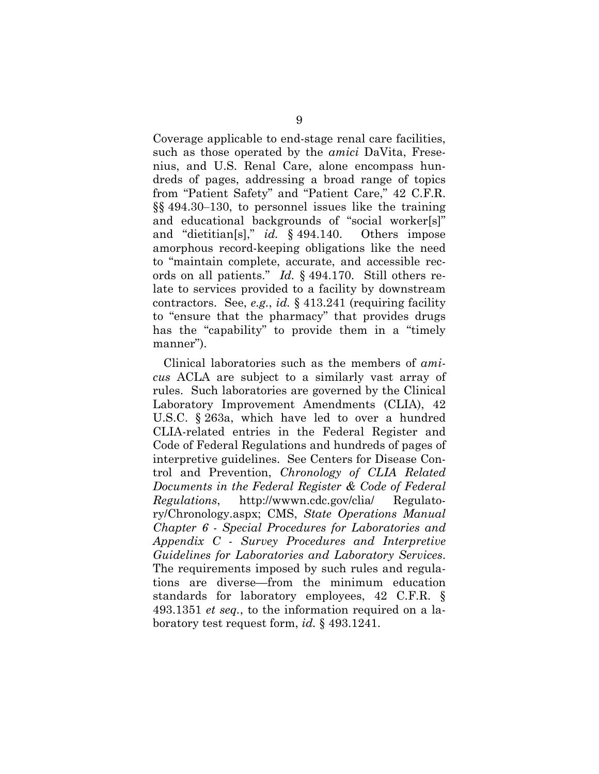Coverage applicable to end-stage renal care facilities, such as those operated by the *amici* DaVita, Fresenius, and U.S. Renal Care, alone encompass hundreds of pages, addressing a broad range of topics from "Patient Safety" and "Patient Care," 42 C.F.R. §§ 494.30‒130, to personnel issues like the training and educational backgrounds of "social worker[s]" and "dietitian[s]," *id.* § 494.140. Others impose amorphous record-keeping obligations like the need to "maintain complete, accurate, and accessible records on all patients." *Id.* § 494.170. Still others relate to services provided to a facility by downstream contractors. See, *e.g.*, *id.* § 413.241 (requiring facility to "ensure that the pharmacy" that provides drugs has the "capability" to provide them in a "timely manner").

Clinical laboratories such as the members of *amicus* ACLA are subject to a similarly vast array of rules. Such laboratories are governed by the Clinical Laboratory Improvement Amendments (CLIA), 42 U.S.C. § 263a, which have led to over a hundred CLIA-related entries in the Federal Register and Code of Federal Regulations and hundreds of pages of interpretive guidelines. See Centers for Disease Control and Prevention, *Chronology of CLIA Related Documents in the Federal Register & Code of Federal Regulations*, http://wwwn.cdc.gov/clia/ Regulatory/Chronology.aspx; CMS, *State Operations Manual Chapter 6 - Special Procedures for Laboratories and Appendix C - Survey Procedures and Interpretive Guidelines for Laboratories and Laboratory Services*. The requirements imposed by such rules and regulations are diverse—from the minimum education standards for laboratory employees, 42 C.F.R. § 493.1351 *et seq.*, to the information required on a laboratory test request form, *id.* § 493.1241.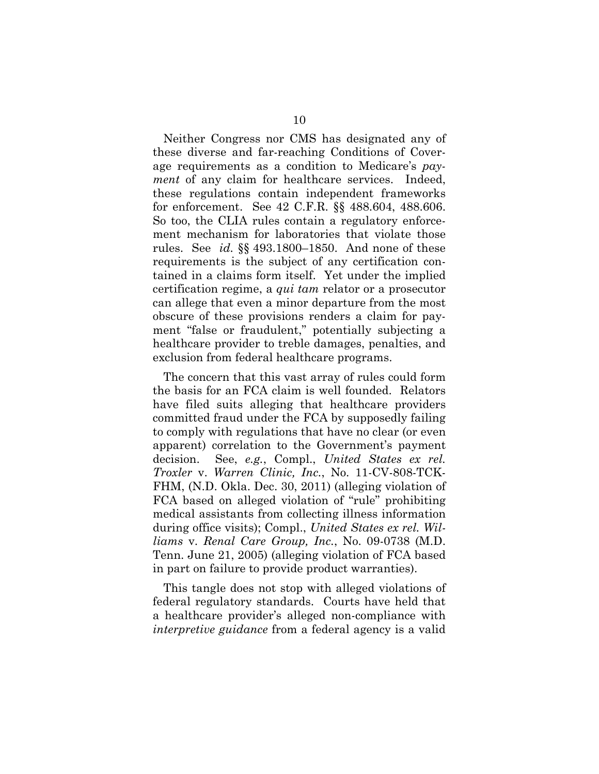Neither Congress nor CMS has designated any of these diverse and far-reaching Conditions of Coverage requirements as a condition to Medicare's *payment* of any claim for healthcare services. Indeed, these regulations contain independent frameworks for enforcement. See 42 C.F.R. §§ 488.604, 488.606. So too, the CLIA rules contain a regulatory enforcement mechanism for laboratories that violate those rules. See *id.* §§ 493.1800–1850. And none of these requirements is the subject of any certification contained in a claims form itself. Yet under the implied certification regime, a *qui tam* relator or a prosecutor can allege that even a minor departure from the most obscure of these provisions renders a claim for payment "false or fraudulent," potentially subjecting a healthcare provider to treble damages, penalties, and exclusion from federal healthcare programs.

The concern that this vast array of rules could form the basis for an FCA claim is well founded. Relators have filed suits alleging that healthcare providers committed fraud under the FCA by supposedly failing to comply with regulations that have no clear (or even apparent) correlation to the Government's payment decision. See, *e.g.*, Compl., *United States ex rel. Troxler* v. *Warren Clinic, Inc.*, No. 11-CV-808-TCK-FHM, (N.D. Okla. Dec. 30, 2011) (alleging violation of FCA based on alleged violation of "rule" prohibiting medical assistants from collecting illness information during office visits); Compl., *United States ex rel. Williams* v. *Renal Care Group, Inc.*, No. 09-0738 (M.D. Tenn. June 21, 2005) (alleging violation of FCA based in part on failure to provide product warranties).

This tangle does not stop with alleged violations of federal regulatory standards. Courts have held that a healthcare provider's alleged non-compliance with *interpretive guidance* from a federal agency is a valid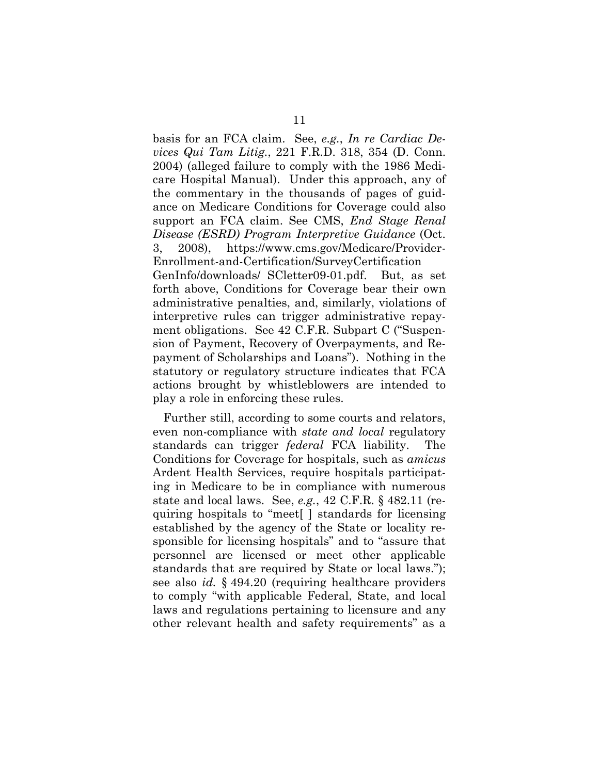basis for an FCA claim. See, *e.g.*, *In re Cardiac Devices Qui Tam Litig.*, 221 F.R.D. 318, 354 (D. Conn. 2004) (alleged failure to comply with the 1986 Medicare Hospital Manual). Under this approach, any of the commentary in the thousands of pages of guidance on Medicare Conditions for Coverage could also support an FCA claim. See CMS, *End Stage Renal Disease (ESRD) Program Interpretive Guidance* (Oct. 3, 2008), https://www.cms.gov/Medicare/Provider-Enrollment-and-Certification/SurveyCertification GenInfo/downloads/ SCletter09-01.pdf. But, as set forth above, Conditions for Coverage bear their own administrative penalties, and, similarly, violations of interpretive rules can trigger administrative repayment obligations. See 42 C.F.R. Subpart C ("Suspension of Payment, Recovery of Overpayments, and Repayment of Scholarships and Loans"). Nothing in the statutory or regulatory structure indicates that FCA actions brought by whistleblowers are intended to play a role in enforcing these rules.

Further still, according to some courts and relators, even non-compliance with *state and local* regulatory standards can trigger *federal* FCA liability. The Conditions for Coverage for hospitals, such as *amicus* Ardent Health Services, require hospitals participating in Medicare to be in compliance with numerous state and local laws. See, *e.g.*, 42 C.F.R. § 482.11 (requiring hospitals to "meet[ ] standards for licensing established by the agency of the State or locality responsible for licensing hospitals" and to "assure that personnel are licensed or meet other applicable standards that are required by State or local laws."); see also *id.* § 494.20 (requiring healthcare providers to comply "with applicable Federal, State, and local laws and regulations pertaining to licensure and any other relevant health and safety requirements" as a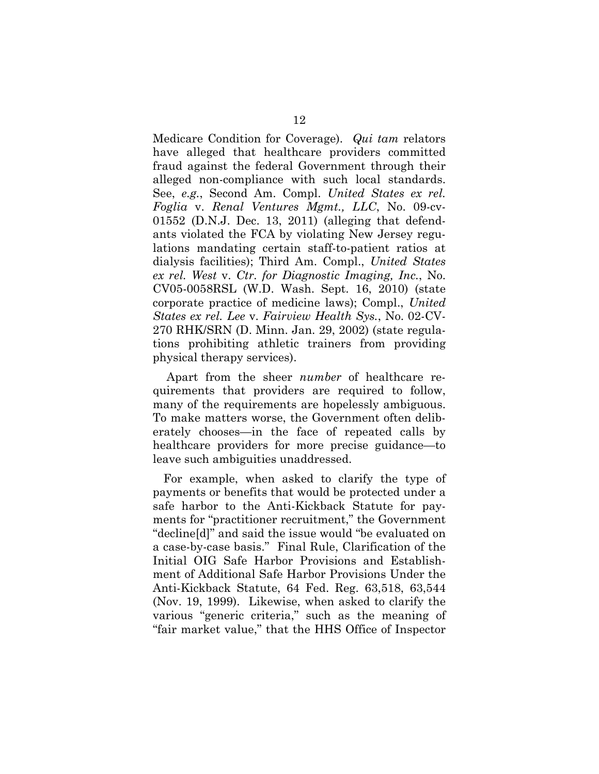Medicare Condition for Coverage). *Qui tam* relators have alleged that healthcare providers committed fraud against the federal Government through their alleged non-compliance with such local standards. See, *e.g.*, Second Am. Compl. *United States ex rel. Foglia* v. *Renal Ventures Mgmt., LLC*, No. 09-cv-01552 (D.N.J. Dec. 13, 2011) (alleging that defendants violated the FCA by violating New Jersey regulations mandating certain staff-to-patient ratios at dialysis facilities); Third Am. Compl., *United States ex rel. West* v. *Ctr. for Diagnostic Imaging, Inc.*, No. CV05-0058RSL (W.D. Wash. Sept. 16, 2010) (state corporate practice of medicine laws); Compl., *United States ex rel. Lee* v. *Fairview Health Sys.*, No. 02-CV-270 RHK/SRN (D. Minn. Jan. 29, 2002) (state regulations prohibiting athletic trainers from providing physical therapy services).

 Apart from the sheer *number* of healthcare requirements that providers are required to follow, many of the requirements are hopelessly ambiguous. To make matters worse, the Government often deliberately chooses—in the face of repeated calls by healthcare providers for more precise guidance—to leave such ambiguities unaddressed.

For example, when asked to clarify the type of payments or benefits that would be protected under a safe harbor to the Anti-Kickback Statute for payments for "practitioner recruitment," the Government "decline[d]" and said the issue would "be evaluated on a case-by-case basis." Final Rule, Clarification of the Initial OIG Safe Harbor Provisions and Establishment of Additional Safe Harbor Provisions Under the Anti-Kickback Statute, 64 Fed. Reg. 63,518, 63,544 (Nov. 19, 1999). Likewise, when asked to clarify the various "generic criteria," such as the meaning of "fair market value," that the HHS Office of Inspector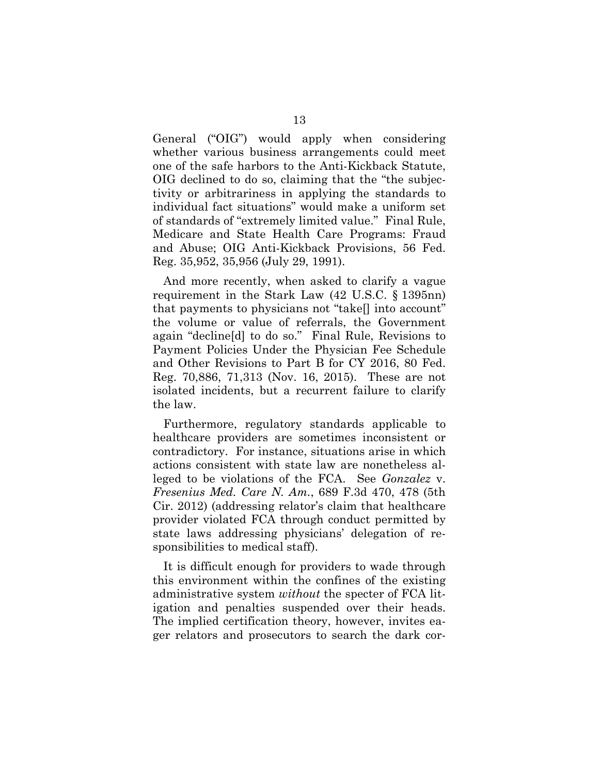General ("OIG") would apply when considering whether various business arrangements could meet one of the safe harbors to the Anti-Kickback Statute, OIG declined to do so, claiming that the "the subjectivity or arbitrariness in applying the standards to individual fact situations" would make a uniform set of standards of "extremely limited value." Final Rule, Medicare and State Health Care Programs: Fraud and Abuse; OIG Anti-Kickback Provisions, 56 Fed. Reg. 35,952, 35,956 (July 29, 1991).

And more recently, when asked to clarify a vague requirement in the Stark Law (42 U.S.C. § 1395nn) that payments to physicians not "take[] into account" the volume or value of referrals, the Government again "decline[d] to do so." Final Rule, Revisions to Payment Policies Under the Physician Fee Schedule and Other Revisions to Part B for CY 2016, 80 Fed. Reg. 70,886, 71,313 (Nov. 16, 2015). These are not isolated incidents, but a recurrent failure to clarify the law.

Furthermore, regulatory standards applicable to healthcare providers are sometimes inconsistent or contradictory. For instance, situations arise in which actions consistent with state law are nonetheless alleged to be violations of the FCA. See *Gonzalez* v. *Fresenius Med. Care N. Am.*, 689 F.3d 470, 478 (5th Cir. 2012) (addressing relator's claim that healthcare provider violated FCA through conduct permitted by state laws addressing physicians' delegation of responsibilities to medical staff).

It is difficult enough for providers to wade through this environment within the confines of the existing administrative system *without* the specter of FCA litigation and penalties suspended over their heads. The implied certification theory, however, invites eager relators and prosecutors to search the dark cor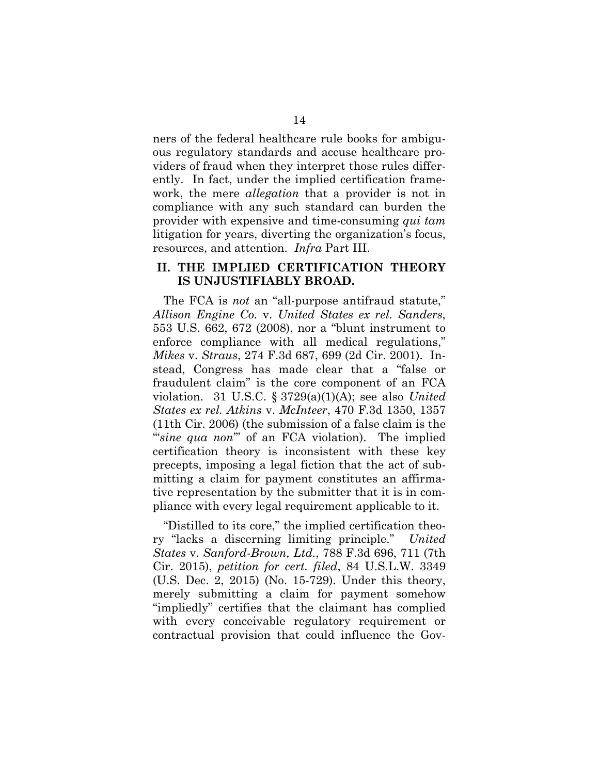ners of the federal healthcare rule books for ambiguous regulatory standards and accuse healthcare providers of fraud when they interpret those rules differently. In fact, under the implied certification framework, the mere *allegation* that a provider is not in compliance with any such standard can burden the provider with expensive and time-consuming *qui tam*  litigation for years, diverting the organization's focus, resources, and attention. *Infra* Part III.

#### **II. THE IMPLIED CERTIFICATION THEORY IS UNJUSTIFIABLY BROAD.**

The FCA is *not* an "all-purpose antifraud statute," *Allison Engine Co.* v. *United States ex rel. Sanders*, 553 U.S. 662, 672 (2008), nor a "blunt instrument to enforce compliance with all medical regulations," *Mikes* v. *Straus*, 274 F.3d 687, 699 (2d Cir. 2001). Instead, Congress has made clear that a "false or fraudulent claim" is the core component of an FCA violation. 31 U.S.C. § 3729(a)(1)(A); see also *United States ex rel. Atkins* v. *McInteer*, 470 F.3d 1350, 1357 (11th Cir. 2006) (the submission of a false claim is the "*sine qua non*" of an FCA violation). The implied certification theory is inconsistent with these key precepts, imposing a legal fiction that the act of submitting a claim for payment constitutes an affirmative representation by the submitter that it is in compliance with every legal requirement applicable to it.

"Distilled to its core," the implied certification theory "lacks a discerning limiting principle." *United States* v. *Sanford-Brown, Ltd.*, 788 F.3d 696, 711 (7th Cir. 2015), *petition for cert. filed*, 84 U.S.L.W. 3349 (U.S. Dec. 2, 2015) (No. 15-729). Under this theory, merely submitting a claim for payment somehow "impliedly" certifies that the claimant has complied with every conceivable regulatory requirement or contractual provision that could influence the Gov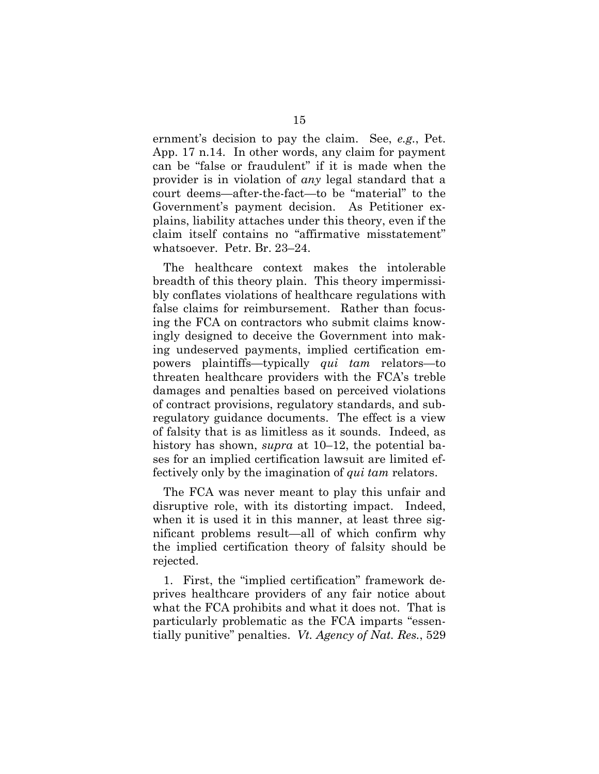ernment's decision to pay the claim. See, *e.g.*, Pet. App. 17 n.14. In other words, any claim for payment can be "false or fraudulent" if it is made when the provider is in violation of *any* legal standard that a court deems—after-the-fact—to be "material" to the Government's payment decision. As Petitioner explains, liability attaches under this theory, even if the claim itself contains no "affirmative misstatement" whatsoever. Petr. Br. 23–24.

The healthcare context makes the intolerable breadth of this theory plain. This theory impermissibly conflates violations of healthcare regulations with false claims for reimbursement. Rather than focusing the FCA on contractors who submit claims knowingly designed to deceive the Government into making undeserved payments, implied certification empowers plaintiffs—typically *qui tam* relators—to threaten healthcare providers with the FCA's treble damages and penalties based on perceived violations of contract provisions, regulatory standards, and subregulatory guidance documents. The effect is a view of falsity that is as limitless as it sounds. Indeed, as history has shown, *supra* at 10–12, the potential bases for an implied certification lawsuit are limited effectively only by the imagination of *qui tam* relators.

The FCA was never meant to play this unfair and disruptive role, with its distorting impact. Indeed, when it is used it in this manner, at least three significant problems result—all of which confirm why the implied certification theory of falsity should be rejected.

1. First, the "implied certification" framework deprives healthcare providers of any fair notice about what the FCA prohibits and what it does not. That is particularly problematic as the FCA imparts "essentially punitive" penalties. *Vt. Agency of Nat. Res.*, 529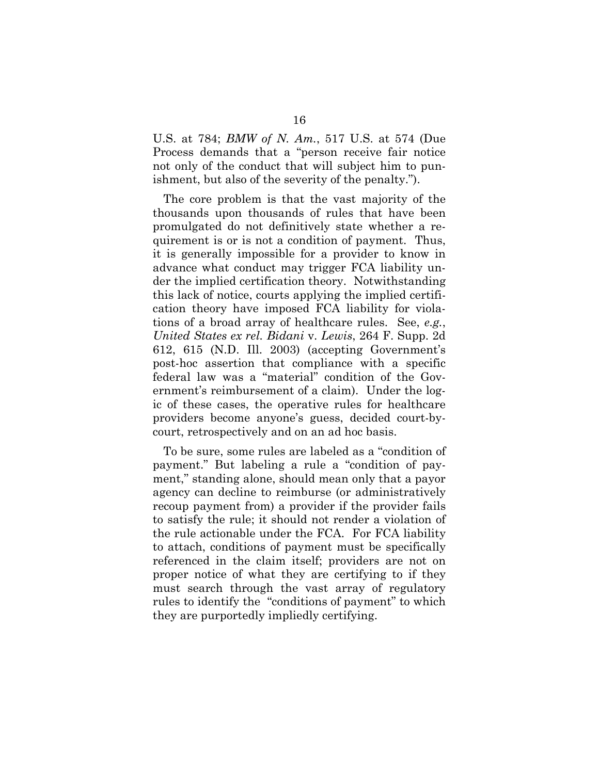U.S. at 784; *BMW of N. Am.*, 517 U.S. at 574 (Due Process demands that a "person receive fair notice not only of the conduct that will subject him to punishment, but also of the severity of the penalty.").

The core problem is that the vast majority of the thousands upon thousands of rules that have been promulgated do not definitively state whether a requirement is or is not a condition of payment. Thus, it is generally impossible for a provider to know in advance what conduct may trigger FCA liability under the implied certification theory. Notwithstanding this lack of notice, courts applying the implied certification theory have imposed FCA liability for violations of a broad array of healthcare rules. See, *e.g.*, *United States ex rel. Bidani* v. *Lewis*, 264 F. Supp. 2d 612, 615 (N.D. Ill. 2003) (accepting Government's post-hoc assertion that compliance with a specific federal law was a "material" condition of the Government's reimbursement of a claim). Under the logic of these cases, the operative rules for healthcare providers become anyone's guess, decided court-bycourt, retrospectively and on an ad hoc basis.

To be sure, some rules are labeled as a "condition of payment." But labeling a rule a "condition of payment," standing alone, should mean only that a payor agency can decline to reimburse (or administratively recoup payment from) a provider if the provider fails to satisfy the rule; it should not render a violation of the rule actionable under the FCA. For FCA liability to attach, conditions of payment must be specifically referenced in the claim itself; providers are not on proper notice of what they are certifying to if they must search through the vast array of regulatory rules to identify the "conditions of payment" to which they are purportedly impliedly certifying.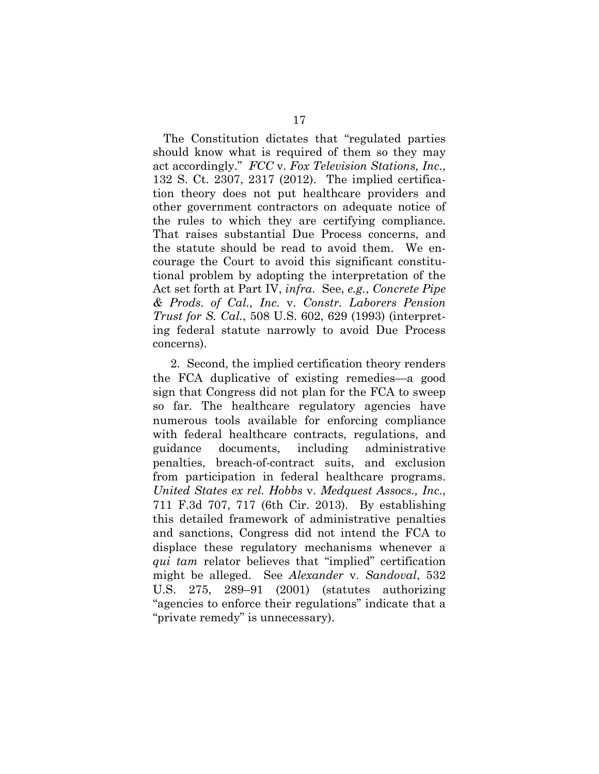The Constitution dictates that "regulated parties should know what is required of them so they may act accordingly." *FCC* v. *Fox Television Stations, Inc.*, 132 S. Ct. 2307, 2317 (2012). The implied certification theory does not put healthcare providers and other government contractors on adequate notice of the rules to which they are certifying compliance. That raises substantial Due Process concerns, and the statute should be read to avoid them. We encourage the Court to avoid this significant constitutional problem by adopting the interpretation of the Act set forth at Part IV, *infra*. See, *e.g.*, *Concrete Pipe & Prods. of Cal., Inc.* v. *Constr. Laborers Pension Trust for S. Cal.*, 508 U.S. 602, 629 (1993) (interpreting federal statute narrowly to avoid Due Process concerns).

2. Second, the implied certification theory renders the FCA duplicative of existing remedies—a good sign that Congress did not plan for the FCA to sweep so far. The healthcare regulatory agencies have numerous tools available for enforcing compliance with federal healthcare contracts, regulations, and guidance documents, including administrative penalties, breach-of-contract suits, and exclusion from participation in federal healthcare programs. *United States ex rel. Hobbs* v. *Medquest Assocs., Inc.*, 711 F.3d 707, 717 (6th Cir. 2013). By establishing this detailed framework of administrative penalties and sanctions, Congress did not intend the FCA to displace these regulatory mechanisms whenever a *qui tam* relator believes that "implied" certification might be alleged. See *Alexander* v. *Sandoval*, 532 U.S. 275, 289–91 (2001) (statutes authorizing "agencies to enforce their regulations" indicate that a "private remedy" is unnecessary).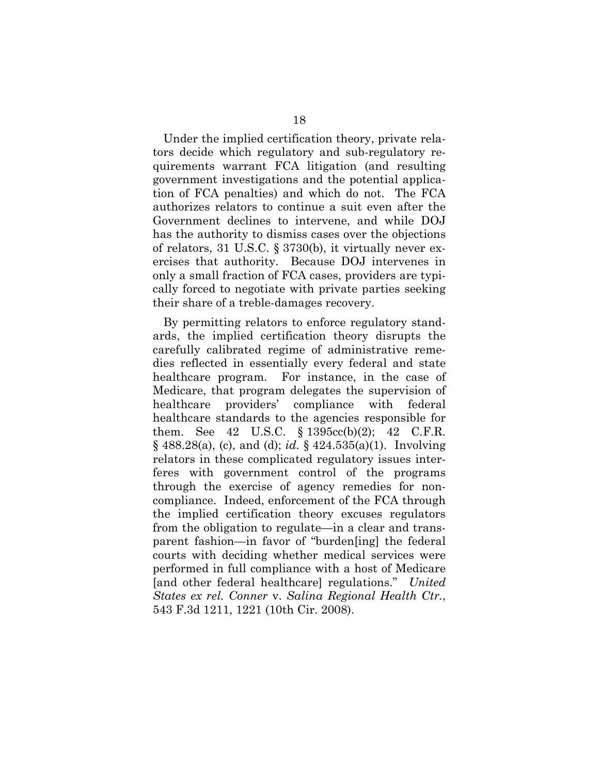Under the implied certification theory, private relators decide which regulatory and sub-regulatory requirements warrant FCA litigation (and resulting government investigations and the potential application of FCA penalties) and which do not. The FCA authorizes relators to continue a suit even after the Government declines to intervene, and while DOJ has the authority to dismiss cases over the objections of relators, 31 U.S.C. § 3730(b), it virtually never exercises that authority. Because DOJ intervenes in only a small fraction of FCA cases, providers are typically forced to negotiate with private parties seeking their share of a treble-damages recovery.

By permitting relators to enforce regulatory standards, the implied certification theory disrupts the carefully calibrated regime of administrative remedies reflected in essentially every federal and state healthcare program. For instance, in the case of Medicare, that program delegates the supervision of healthcare providers' compliance with federal healthcare standards to the agencies responsible for them. See 42 U.S.C.  $\S 1395cc(b)(2)$ ; 42 C.F.R. § 488.28(a), (c), and (d); *id.* § 424.535(a)(1). Involving relators in these complicated regulatory issues interferes with government control of the programs through the exercise of agency remedies for noncompliance. Indeed, enforcement of the FCA through the implied certification theory excuses regulators from the obligation to regulate—in a clear and transparent fashion—in favor of "burden[ing] the federal courts with deciding whether medical services were performed in full compliance with a host of Medicare [and other federal healthcare] regulations." *United States ex rel. Conner* v. *Salina Regional Health Ctr.*, 543 F.3d 1211, 1221 (10th Cir. 2008).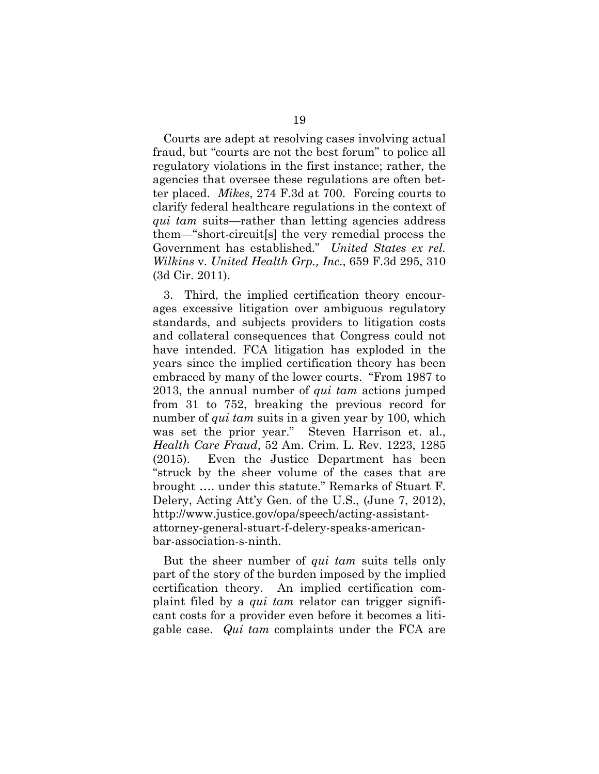Courts are adept at resolving cases involving actual fraud, but "courts are not the best forum" to police all regulatory violations in the first instance; rather, the agencies that oversee these regulations are often better placed. *Mikes*, 274 F.3d at 700. Forcing courts to clarify federal healthcare regulations in the context of *qui tam* suits—rather than letting agencies address them—"short-circuit[s] the very remedial process the Government has established." *United States ex rel. Wilkins* v. *United Health Grp., Inc.*, 659 F.3d 295, 310 (3d Cir. 2011).

3. Third, the implied certification theory encourages excessive litigation over ambiguous regulatory standards, and subjects providers to litigation costs and collateral consequences that Congress could not have intended. FCA litigation has exploded in the years since the implied certification theory has been embraced by many of the lower courts. "From 1987 to 2013, the annual number of *qui tam* actions jumped from 31 to 752, breaking the previous record for number of *qui tam* suits in a given year by 100, which was set the prior year." Steven Harrison et. al., *Health Care Fraud*, 52 Am. Crim. L. Rev. 1223, 1285 (2015). Even the Justice Department has been "struck by the sheer volume of the cases that are brought …. under this statute." Remarks of Stuart F. Delery, Acting Att'y Gen. of the U.S., (June 7, 2012), http://www.justice.gov/opa/speech/acting-assistantattorney-general-stuart-f-delery-speaks-americanbar-association-s-ninth.

But the sheer number of *qui tam* suits tells only part of the story of the burden imposed by the implied certification theory. An implied certification complaint filed by a *qui tam* relator can trigger significant costs for a provider even before it becomes a litigable case. *Qui tam* complaints under the FCA are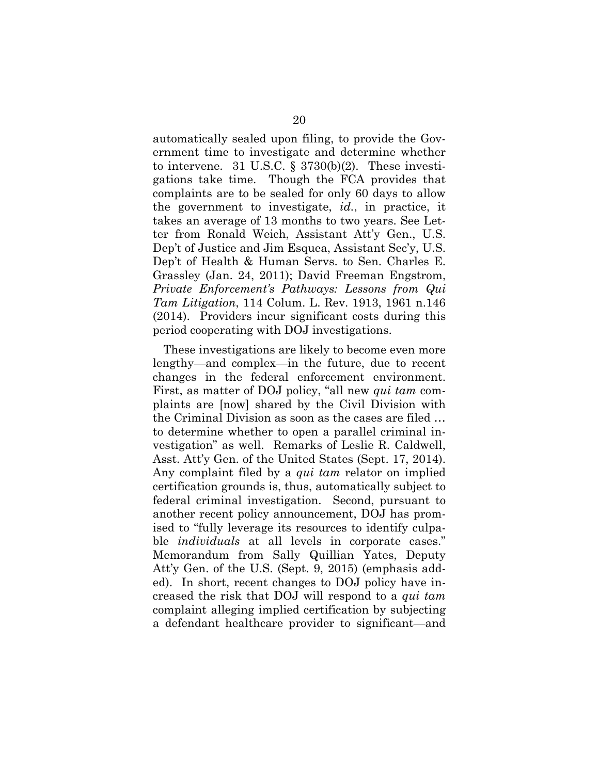automatically sealed upon filing, to provide the Government time to investigate and determine whether to intervene. 31 U.S.C.  $\S$  3730(b)(2). These investigations take time. Though the FCA provides that complaints are to be sealed for only 60 days to allow the government to investigate, *id.*, in practice, it takes an average of 13 months to two years. See Letter from Ronald Weich, Assistant Att'y Gen., U.S. Dep't of Justice and Jim Esquea, Assistant Sec'y, U.S. Dep't of Health & Human Servs. to Sen. Charles E. Grassley (Jan. 24, 2011); David Freeman Engstrom, *Private Enforcement's Pathways: Lessons from Qui Tam Litigation*, 114 Colum. L. Rev. 1913, 1961 n.146 (2014). Providers incur significant costs during this period cooperating with DOJ investigations.

These investigations are likely to become even more lengthy—and complex—in the future, due to recent changes in the federal enforcement environment. First, as matter of DOJ policy, "all new *qui tam* complaints are [now] shared by the Civil Division with the Criminal Division as soon as the cases are filed … to determine whether to open a parallel criminal investigation" as well. Remarks of Leslie R. Caldwell, Asst. Att'y Gen. of the United States (Sept. 17, 2014). Any complaint filed by a *qui tam* relator on implied certification grounds is, thus, automatically subject to federal criminal investigation. Second, pursuant to another recent policy announcement, DOJ has promised to "fully leverage its resources to identify culpable *individuals* at all levels in corporate cases." Memorandum from Sally Quillian Yates, Deputy Att'y Gen. of the U.S. (Sept. 9, 2015) (emphasis added). In short, recent changes to DOJ policy have increased the risk that DOJ will respond to a *qui tam*  complaint alleging implied certification by subjecting a defendant healthcare provider to significant—and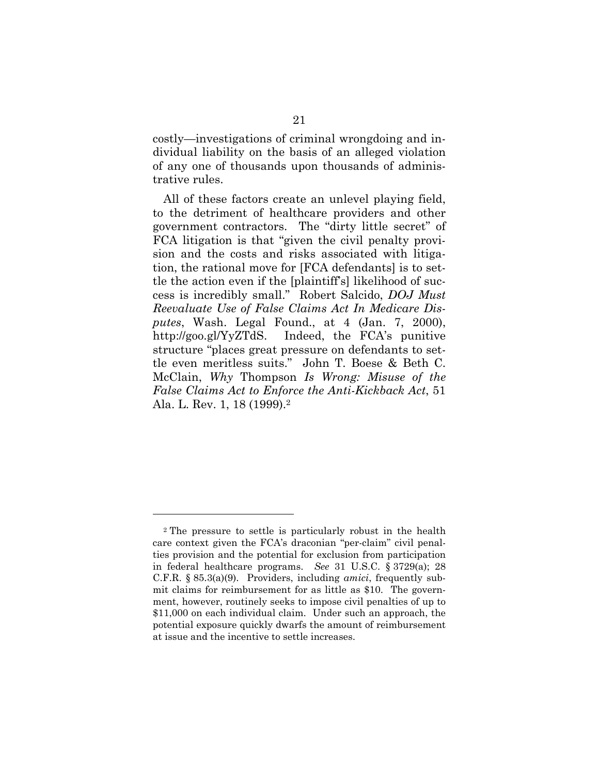costly—investigations of criminal wrongdoing and individual liability on the basis of an alleged violation of any one of thousands upon thousands of administrative rules.

All of these factors create an unlevel playing field, to the detriment of healthcare providers and other government contractors. The "dirty little secret" of FCA litigation is that "given the civil penalty provision and the costs and risks associated with litigation, the rational move for [FCA defendants] is to settle the action even if the [plaintiff's] likelihood of success is incredibly small." Robert Salcido, *DOJ Must Reevaluate Use of False Claims Act In Medicare Disputes*, Wash. Legal Found., at 4 (Jan. 7, 2000), http://goo.gl/YyZTdS. Indeed, the FCA's punitive structure "places great pressure on defendants to settle even meritless suits." John T. Boese & Beth C. McClain, *Why* Thompson *Is Wrong: Misuse of the False Claims Act to Enforce the Anti-Kickback Act*, 51 Ala. L. Rev. 1, 18 (1999).2

<sup>2</sup> The pressure to settle is particularly robust in the health care context given the FCA's draconian "per-claim" civil penalties provision and the potential for exclusion from participation in federal healthcare programs. *See* 31 U.S.C. § 3729(a); 28 C.F.R. § 85.3(a)(9). Providers, including *amici*, frequently submit claims for reimbursement for as little as \$10. The government, however, routinely seeks to impose civil penalties of up to \$11,000 on each individual claim. Under such an approach, the potential exposure quickly dwarfs the amount of reimbursement at issue and the incentive to settle increases.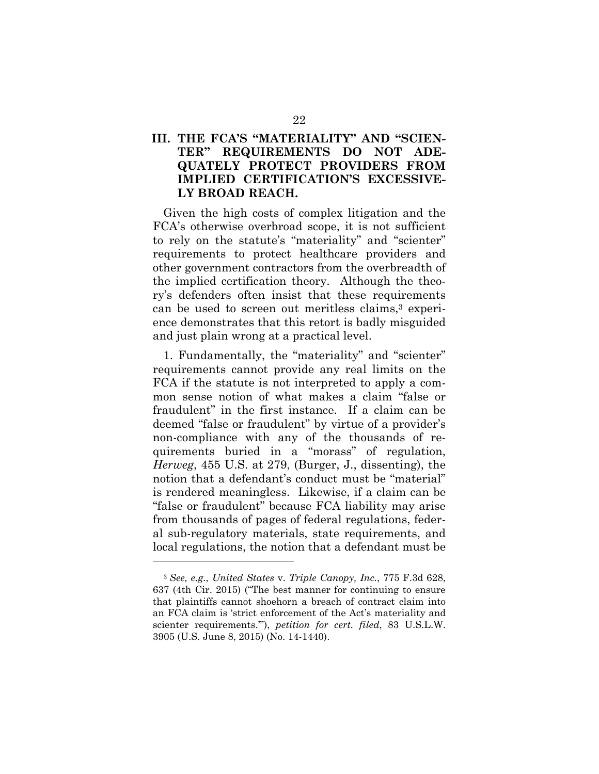### **III. THE FCA'S "MATERIALITY" AND "SCIEN-TER" REQUIREMENTS DO NOT ADE-QUATELY PROTECT PROVIDERS FROM IMPLIED CERTIFICATION'S EXCESSIVE-LY BROAD REACH.**

Given the high costs of complex litigation and the FCA's otherwise overbroad scope, it is not sufficient to rely on the statute's "materiality" and "scienter" requirements to protect healthcare providers and other government contractors from the overbreadth of the implied certification theory. Although the theory's defenders often insist that these requirements can be used to screen out meritless claims,3 experience demonstrates that this retort is badly misguided and just plain wrong at a practical level.

1. Fundamentally, the "materiality" and "scienter" requirements cannot provide any real limits on the FCA if the statute is not interpreted to apply a common sense notion of what makes a claim "false or fraudulent" in the first instance. If a claim can be deemed "false or fraudulent" by virtue of a provider's non-compliance with any of the thousands of requirements buried in a "morass" of regulation, *Herweg*, 455 U.S. at 279, (Burger, J., dissenting), the notion that a defendant's conduct must be "material" is rendered meaningless. Likewise, if a claim can be "false or fraudulent" because FCA liability may arise from thousands of pages of federal regulations, federal sub-regulatory materials, state requirements, and local regulations, the notion that a defendant must be

<sup>3</sup> *See, e.g.*, *United States* v. *Triple Canopy, Inc.*, 775 F.3d 628, 637 (4th Cir. 2015) ("The best manner for continuing to ensure that plaintiffs cannot shoehorn a breach of contract claim into an FCA claim is 'strict enforcement of the Act's materiality and scienter requirements.'"), *petition for cert. filed*, 83 U.S.L.W. 3905 (U.S. June 8, 2015) (No. 14-1440).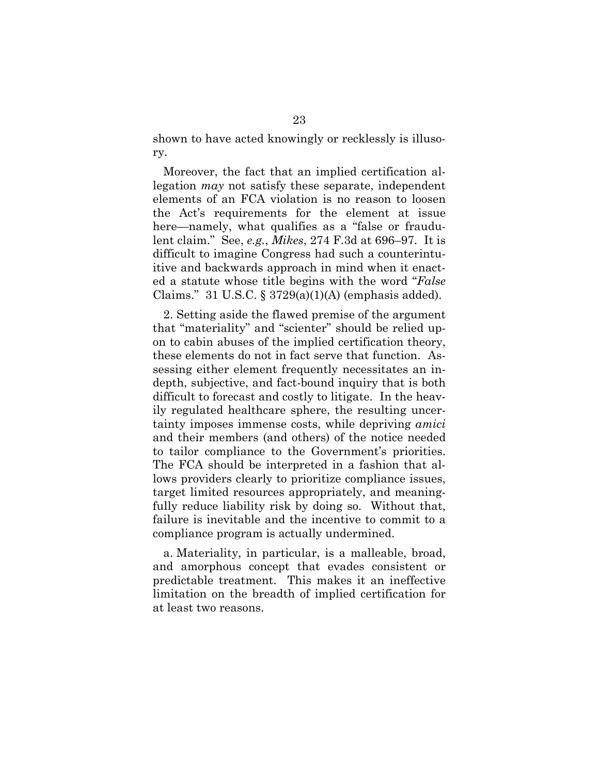shown to have acted knowingly or recklessly is illusory.

Moreover, the fact that an implied certification allegation *may* not satisfy these separate, independent elements of an FCA violation is no reason to loosen the Act's requirements for the element at issue here—namely, what qualifies as a "false or fraudulent claim." See, *e.g.*, *Mikes*, 274 F.3d at 696–97. It is difficult to imagine Congress had such a counterintuitive and backwards approach in mind when it enacted a statute whose title begins with the word "*False* Claims." 31 U.S.C.  $\S 3729(a)(1)(A)$  (emphasis added).

2. Setting aside the flawed premise of the argument that "materiality" and "scienter" should be relied upon to cabin abuses of the implied certification theory, these elements do not in fact serve that function. Assessing either element frequently necessitates an indepth, subjective, and fact-bound inquiry that is both difficult to forecast and costly to litigate. In the heavily regulated healthcare sphere, the resulting uncertainty imposes immense costs, while depriving *amici* and their members (and others) of the notice needed to tailor compliance to the Government's priorities. The FCA should be interpreted in a fashion that allows providers clearly to prioritize compliance issues, target limited resources appropriately, and meaningfully reduce liability risk by doing so. Without that, failure is inevitable and the incentive to commit to a compliance program is actually undermined.

a. Materiality, in particular, is a malleable, broad, and amorphous concept that evades consistent or predictable treatment. This makes it an ineffective limitation on the breadth of implied certification for at least two reasons.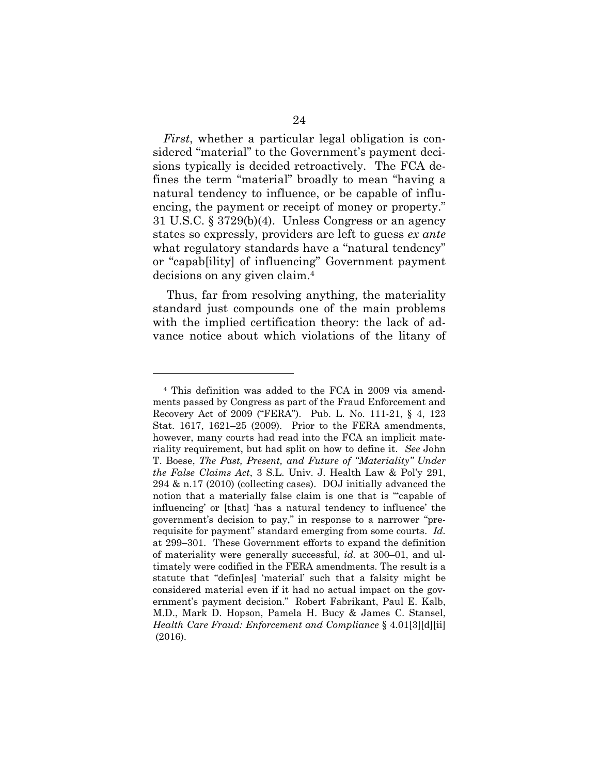*First*, whether a particular legal obligation is considered "material" to the Government's payment decisions typically is decided retroactively. The FCA defines the term "material" broadly to mean "having a natural tendency to influence, or be capable of influencing, the payment or receipt of money or property." 31 U.S.C. § 3729(b)(4). Unless Congress or an agency states so expressly, providers are left to guess *ex ante* what regulatory standards have a "natural tendency" or "capab[ility] of influencing" Government payment decisions on any given claim.4

 Thus, far from resolving anything, the materiality standard just compounds one of the main problems with the implied certification theory: the lack of advance notice about which violations of the litany of

<sup>4</sup> This definition was added to the FCA in 2009 via amendments passed by Congress as part of the Fraud Enforcement and Recovery Act of 2009 ("FERA"). Pub. L. No. 111-21, § 4, 123 Stat. 1617, 1621–25 (2009). Prior to the FERA amendments, however, many courts had read into the FCA an implicit materiality requirement, but had split on how to define it. *See* John T. Boese, *The Past, Present, and Future of "Materiality" Under the False Claims Act*, 3 S.L. Univ. J. Health Law & Pol'y 291, 294 & n.17 (2010) (collecting cases). DOJ initially advanced the notion that a materially false claim is one that is "'capable of influencing' or [that] 'has a natural tendency to influence' the government's decision to pay," in response to a narrower "prerequisite for payment" standard emerging from some courts. *Id.* at 299–301. These Government efforts to expand the definition of materiality were generally successful, *id.* at 300–01, and ultimately were codified in the FERA amendments. The result is a statute that "defin[es] 'material' such that a falsity might be considered material even if it had no actual impact on the government's payment decision." Robert Fabrikant, Paul E. Kalb, M.D., Mark D. Hopson, Pamela H. Bucy & James C. Stansel, *Health Care Fraud: Enforcement and Compliance* § 4.01[3][d][ii] (2016).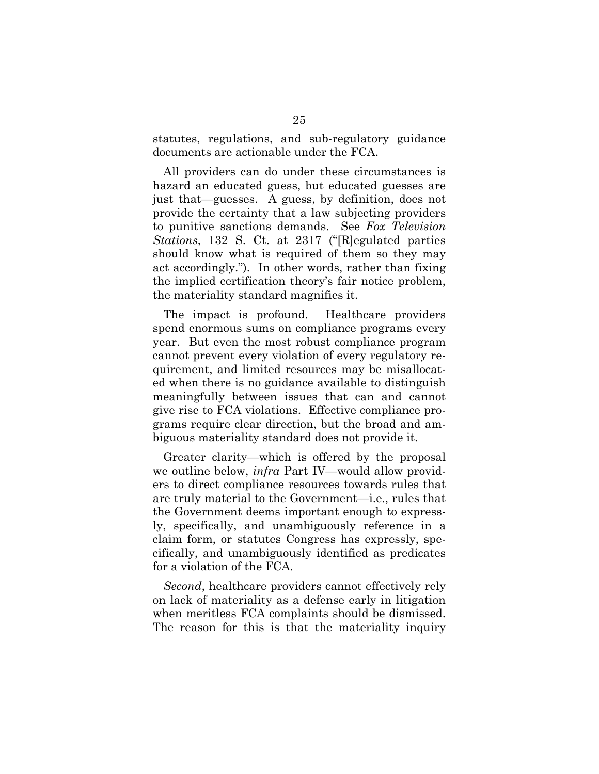statutes, regulations, and sub-regulatory guidance documents are actionable under the FCA.

All providers can do under these circumstances is hazard an educated guess, but educated guesses are just that—guesses. A guess, by definition, does not provide the certainty that a law subjecting providers to punitive sanctions demands. See *Fox Television Stations*, 132 S. Ct. at 2317 ("[R]egulated parties should know what is required of them so they may act accordingly."). In other words, rather than fixing the implied certification theory's fair notice problem, the materiality standard magnifies it.

The impact is profound. Healthcare providers spend enormous sums on compliance programs every year. But even the most robust compliance program cannot prevent every violation of every regulatory requirement, and limited resources may be misallocated when there is no guidance available to distinguish meaningfully between issues that can and cannot give rise to FCA violations. Effective compliance programs require clear direction, but the broad and ambiguous materiality standard does not provide it.

Greater clarity—which is offered by the proposal we outline below, *infra* Part IV—would allow providers to direct compliance resources towards rules that are truly material to the Government—i.e., rules that the Government deems important enough to expressly, specifically, and unambiguously reference in a claim form, or statutes Congress has expressly, specifically, and unambiguously identified as predicates for a violation of the FCA.

*Second*, healthcare providers cannot effectively rely on lack of materiality as a defense early in litigation when meritless FCA complaints should be dismissed. The reason for this is that the materiality inquiry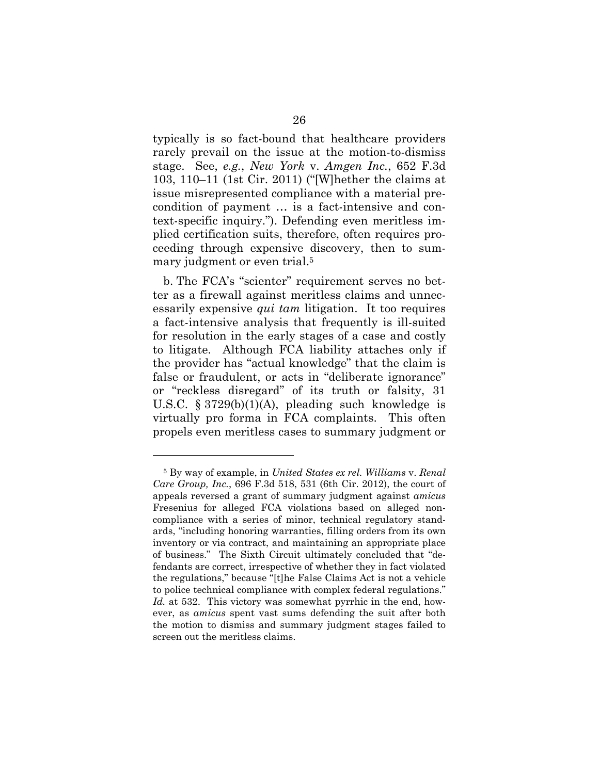typically is so fact-bound that healthcare providers rarely prevail on the issue at the motion-to-dismiss stage. See, *e.g.*, *New York* v. *Amgen Inc.*, 652 F.3d 103, 110–11 (1st Cir. 2011) ("[W]hether the claims at issue misrepresented compliance with a material precondition of payment … is a fact-intensive and context-specific inquiry."). Defending even meritless implied certification suits, therefore, often requires proceeding through expensive discovery, then to summary judgment or even trial.<sup>5</sup>

b. The FCA's "scienter" requirement serves no better as a firewall against meritless claims and unnecessarily expensive *qui tam* litigation. It too requires a fact-intensive analysis that frequently is ill-suited for resolution in the early stages of a case and costly to litigate. Although FCA liability attaches only if the provider has "actual knowledge" that the claim is false or fraudulent, or acts in "deliberate ignorance" or "reckless disregard" of its truth or falsity, 31 U.S.C. § 3729(b)(1)(A), pleading such knowledge is virtually pro forma in FCA complaints. This often propels even meritless cases to summary judgment or

<sup>5</sup> By way of example, in *United States ex rel. Williams* v. *Renal Care Group, Inc.*, 696 F.3d 518, 531 (6th Cir. 2012), the court of appeals reversed a grant of summary judgment against *amicus* Fresenius for alleged FCA violations based on alleged noncompliance with a series of minor, technical regulatory standards, "including honoring warranties, filling orders from its own inventory or via contract, and maintaining an appropriate place of business." The Sixth Circuit ultimately concluded that "defendants are correct, irrespective of whether they in fact violated the regulations," because "[t]he False Claims Act is not a vehicle to police technical compliance with complex federal regulations." *Id.* at 532. This victory was somewhat pyrrhic in the end, however, as *amicus* spent vast sums defending the suit after both the motion to dismiss and summary judgment stages failed to screen out the meritless claims.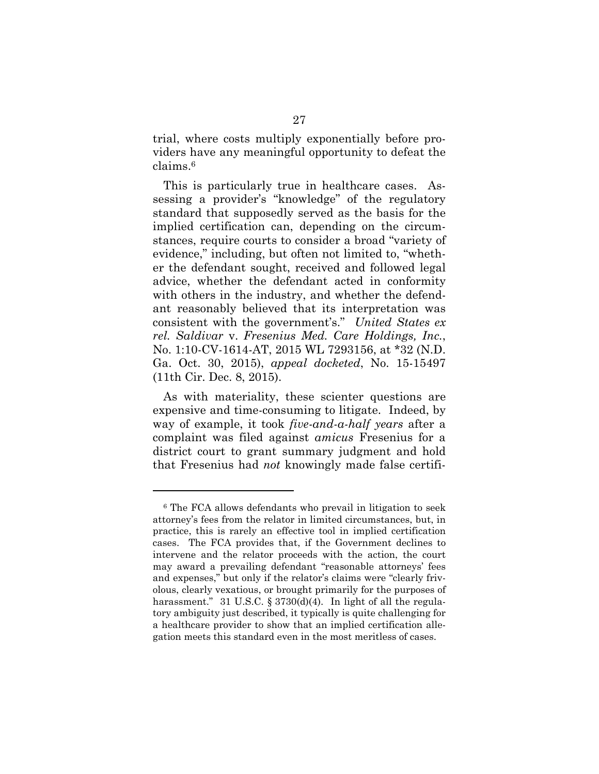trial, where costs multiply exponentially before providers have any meaningful opportunity to defeat the claims.6

This is particularly true in healthcare cases. Assessing a provider's "knowledge" of the regulatory standard that supposedly served as the basis for the implied certification can, depending on the circumstances, require courts to consider a broad "variety of evidence," including, but often not limited to, "whether the defendant sought, received and followed legal advice, whether the defendant acted in conformity with others in the industry, and whether the defendant reasonably believed that its interpretation was consistent with the government's." *United States ex rel. Saldivar* v. *Fresenius Med. Care Holdings, Inc.*, No. 1:10-CV-1614-AT, 2015 WL 7293156, at \*32 (N.D. Ga. Oct. 30, 2015), *appeal docketed*, No. 15-15497 (11th Cir. Dec. 8, 2015).

As with materiality, these scienter questions are expensive and time-consuming to litigate. Indeed, by way of example, it took *five-and-a-half years* after a complaint was filed against *amicus* Fresenius for a district court to grant summary judgment and hold that Fresenius had *not* knowingly made false certifi-

<sup>6</sup> The FCA allows defendants who prevail in litigation to seek attorney's fees from the relator in limited circumstances, but, in practice, this is rarely an effective tool in implied certification cases. The FCA provides that, if the Government declines to intervene and the relator proceeds with the action, the court may award a prevailing defendant "reasonable attorneys' fees and expenses," but only if the relator's claims were "clearly frivolous, clearly vexatious, or brought primarily for the purposes of harassment." 31 U.S.C. § 3730(d)(4). In light of all the regulatory ambiguity just described, it typically is quite challenging for a healthcare provider to show that an implied certification allegation meets this standard even in the most meritless of cases.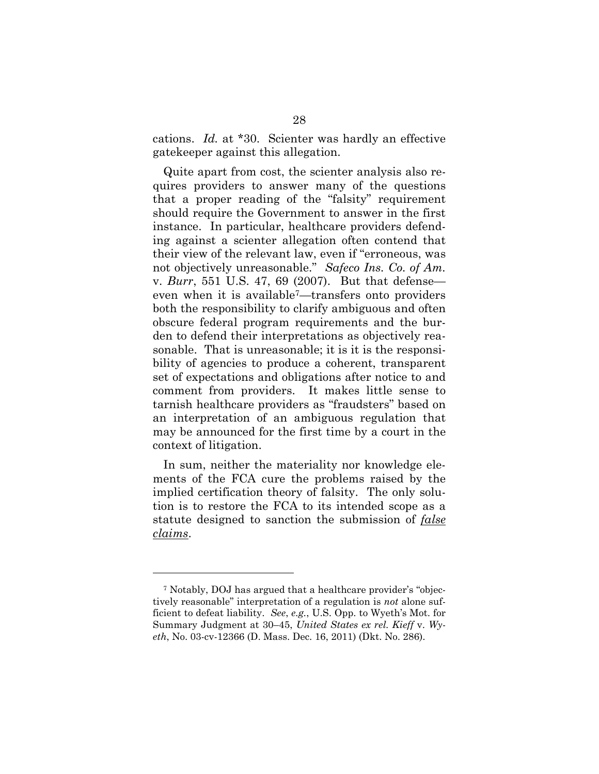cations. *Id.* at \*30. Scienter was hardly an effective gatekeeper against this allegation.

Quite apart from cost, the scienter analysis also requires providers to answer many of the questions that a proper reading of the "falsity" requirement should require the Government to answer in the first instance. In particular, healthcare providers defending against a scienter allegation often contend that their view of the relevant law, even if "erroneous, was not objectively unreasonable." *Safeco Ins. Co. of Am.*  v. *Burr*, 551 U.S. 47, 69 (2007). But that defense even when it is available7—transfers onto providers both the responsibility to clarify ambiguous and often obscure federal program requirements and the burden to defend their interpretations as objectively reasonable. That is unreasonable; it is it is the responsibility of agencies to produce a coherent, transparent set of expectations and obligations after notice to and comment from providers. It makes little sense to tarnish healthcare providers as "fraudsters" based on an interpretation of an ambiguous regulation that may be announced for the first time by a court in the context of litigation.

In sum, neither the materiality nor knowledge elements of the FCA cure the problems raised by the implied certification theory of falsity. The only solution is to restore the FCA to its intended scope as a statute designed to sanction the submission of *false claims*.

<sup>7</sup> Notably, DOJ has argued that a healthcare provider's "objectively reasonable" interpretation of a regulation is *not* alone sufficient to defeat liability. *See*, *e.g.*, U.S. Opp. to Wyeth's Mot. for Summary Judgment at 30–45, *United States ex rel. Kieff* v. *Wyeth*, No. 03-cv-12366 (D. Mass. Dec. 16, 2011) (Dkt. No. 286).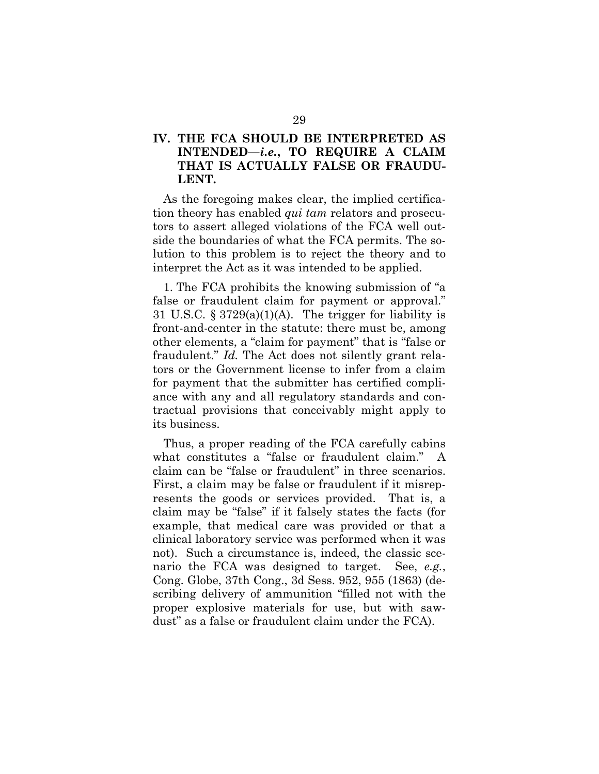### **IV. THE FCA SHOULD BE INTERPRETED AS INTENDED—***i.e.***, TO REQUIRE A CLAIM THAT IS ACTUALLY FALSE OR FRAUDU-LENT.**

As the foregoing makes clear, the implied certification theory has enabled *qui tam* relators and prosecutors to assert alleged violations of the FCA well outside the boundaries of what the FCA permits. The solution to this problem is to reject the theory and to interpret the Act as it was intended to be applied.

1. The FCA prohibits the knowing submission of "a false or fraudulent claim for payment or approval." 31 U.S.C.  $\S 3729(a)(1)(A)$ . The trigger for liability is front-and-center in the statute: there must be, among other elements, a "claim for payment" that is "false or fraudulent." *Id.* The Act does not silently grant relators or the Government license to infer from a claim for payment that the submitter has certified compliance with any and all regulatory standards and contractual provisions that conceivably might apply to its business.

Thus, a proper reading of the FCA carefully cabins what constitutes a "false or fraudulent claim." A claim can be "false or fraudulent" in three scenarios. First, a claim may be false or fraudulent if it misrepresents the goods or services provided. That is, a claim may be "false" if it falsely states the facts (for example, that medical care was provided or that a clinical laboratory service was performed when it was not). Such a circumstance is, indeed, the classic scenario the FCA was designed to target. See, *e.g.*, Cong. Globe, 37th Cong., 3d Sess. 952, 955 (1863) (describing delivery of ammunition "filled not with the proper explosive materials for use, but with sawdust" as a false or fraudulent claim under the FCA).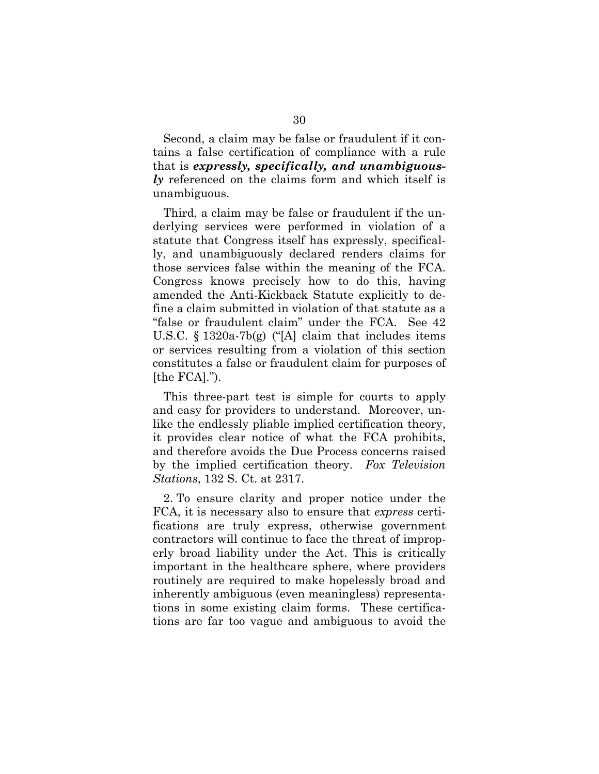Second, a claim may be false or fraudulent if it contains a false certification of compliance with a rule that is *expressly, specifically, and unambiguously* referenced on the claims form and which itself is unambiguous.

Third, a claim may be false or fraudulent if the underlying services were performed in violation of a statute that Congress itself has expressly, specifically, and unambiguously declared renders claims for those services false within the meaning of the FCA. Congress knows precisely how to do this, having amended the Anti-Kickback Statute explicitly to define a claim submitted in violation of that statute as a "false or fraudulent claim" under the FCA. See 42 U.S.C. § 1320a-7b(g) ("[A] claim that includes items or services resulting from a violation of this section constitutes a false or fraudulent claim for purposes of [the FCA].").

This three-part test is simple for courts to apply and easy for providers to understand. Moreover, unlike the endlessly pliable implied certification theory, it provides clear notice of what the FCA prohibits, and therefore avoids the Due Process concerns raised by the implied certification theory. *Fox Television Stations*, 132 S. Ct. at 2317.

2. To ensure clarity and proper notice under the FCA, it is necessary also to ensure that *express* certifications are truly express, otherwise government contractors will continue to face the threat of improperly broad liability under the Act. This is critically important in the healthcare sphere, where providers routinely are required to make hopelessly broad and inherently ambiguous (even meaningless) representations in some existing claim forms. These certifications are far too vague and ambiguous to avoid the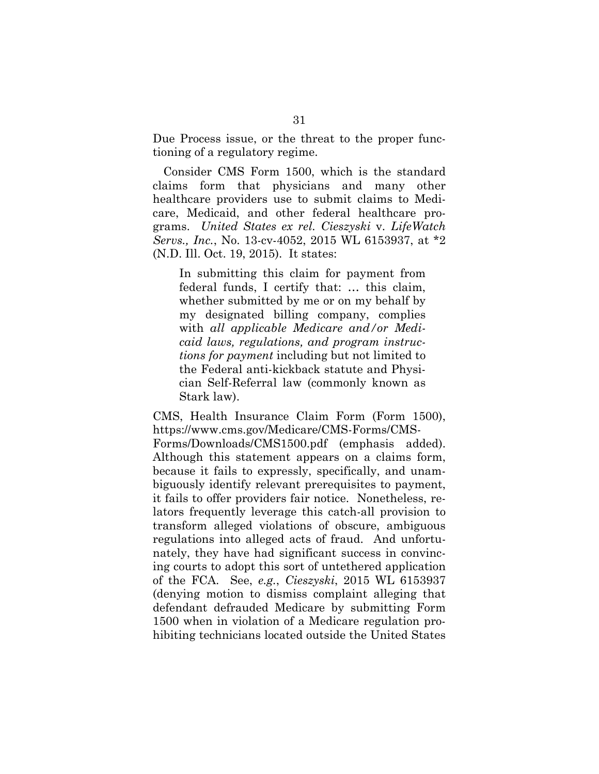Due Process issue, or the threat to the proper functioning of a regulatory regime.

Consider CMS Form 1500, which is the standard claims form that physicians and many other healthcare providers use to submit claims to Medicare, Medicaid, and other federal healthcare programs. *United States ex rel. Cieszyski* v. *LifeWatch Servs., Inc.*, No. 13-cv-4052, 2015 WL 6153937, at \*2 (N.D. Ill. Oct. 19, 2015). It states:

In submitting this claim for payment from federal funds, I certify that: … this claim, whether submitted by me or on my behalf by my designated billing company, complies with *all applicable Medicare and/or Medicaid laws, regulations, and program instructions for payment* including but not limited to the Federal anti-kickback statute and Physician Self-Referral law (commonly known as Stark law).

CMS, Health Insurance Claim Form (Form 1500), https://www.cms.gov/Medicare/CMS-Forms/CMS-

Forms/Downloads/CMS1500.pdf (emphasis added). Although this statement appears on a claims form, because it fails to expressly, specifically, and unambiguously identify relevant prerequisites to payment, it fails to offer providers fair notice. Nonetheless, relators frequently leverage this catch-all provision to transform alleged violations of obscure, ambiguous regulations into alleged acts of fraud. And unfortunately, they have had significant success in convincing courts to adopt this sort of untethered application of the FCA. See, *e.g.*, *Cieszyski*, 2015 WL 6153937 (denying motion to dismiss complaint alleging that defendant defrauded Medicare by submitting Form 1500 when in violation of a Medicare regulation prohibiting technicians located outside the United States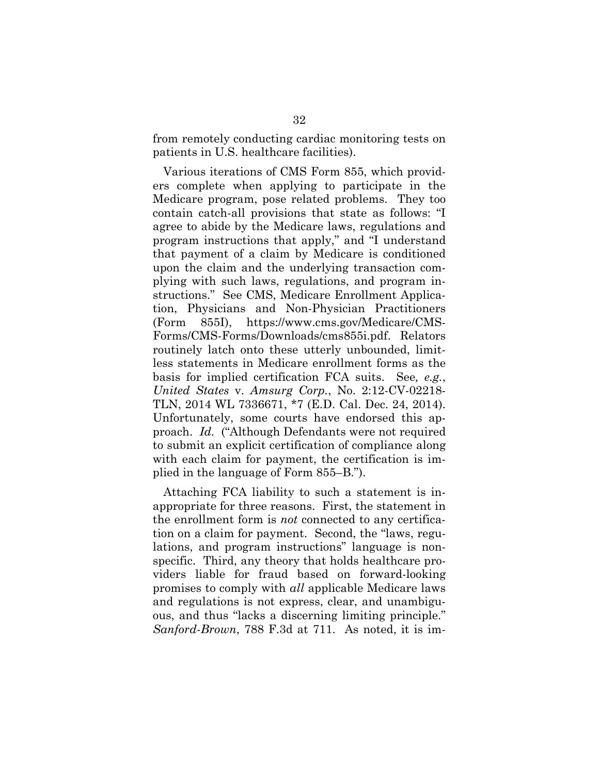from remotely conducting cardiac monitoring tests on patients in U.S. healthcare facilities).

Various iterations of CMS Form 855, which providers complete when applying to participate in the Medicare program, pose related problems. They too contain catch-all provisions that state as follows: "I agree to abide by the Medicare laws, regulations and program instructions that apply," and "I understand that payment of a claim by Medicare is conditioned upon the claim and the underlying transaction complying with such laws, regulations, and program instructions." See CMS, Medicare Enrollment Application, Physicians and Non-Physician Practitioners (Form 855I), https://www.cms.gov/Medicare/CMS-Forms/CMS-Forms/Downloads/cms855i.pdf. Relators routinely latch onto these utterly unbounded, limitless statements in Medicare enrollment forms as the basis for implied certification FCA suits. See*, e.g.*, *United States* v. *Amsurg Corp.*, No. 2:12-CV-02218- TLN, 2014 WL 7336671, \*7 (E.D. Cal. Dec. 24, 2014). Unfortunately, some courts have endorsed this approach. *Id.* ("Although Defendants were not required to submit an explicit certification of compliance along with each claim for payment, the certification is implied in the language of Form 855–B.").

Attaching FCA liability to such a statement is inappropriate for three reasons. First, the statement in the enrollment form is *not* connected to any certification on a claim for payment. Second, the "laws, regulations, and program instructions" language is nonspecific. Third, any theory that holds healthcare providers liable for fraud based on forward-looking promises to comply with *all* applicable Medicare laws and regulations is not express, clear, and unambiguous, and thus "lacks a discerning limiting principle." *Sanford-Brown*, 788 F.3d at 711. As noted, it is im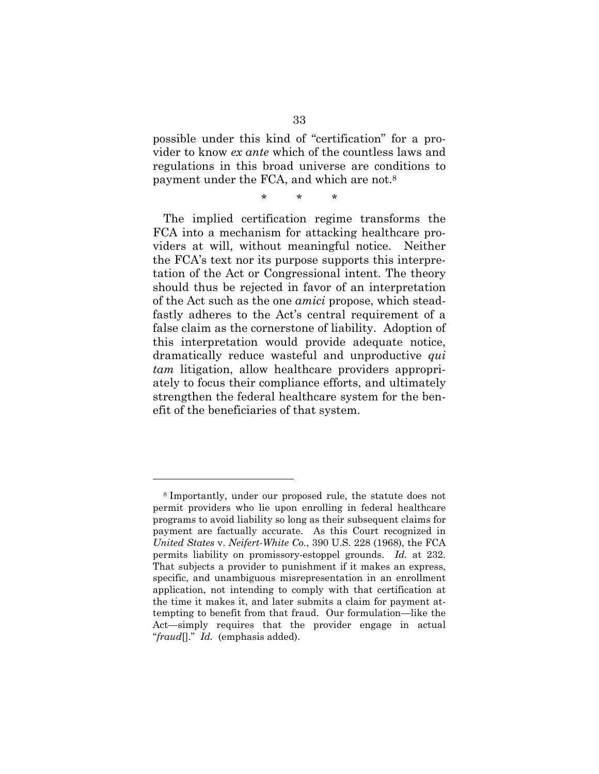possible under this kind of "certification" for a provider to know *ex ante* which of the countless laws and regulations in this broad universe are conditions to payment under the FCA, and which are not.8

\* \* \*

The implied certification regime transforms the FCA into a mechanism for attacking healthcare providers at will, without meaningful notice. Neither the FCA's text nor its purpose supports this interpretation of the Act or Congressional intent. The theory should thus be rejected in favor of an interpretation of the Act such as the one *amici* propose, which steadfastly adheres to the Act's central requirement of a false claim as the cornerstone of liability. Adoption of this interpretation would provide adequate notice, dramatically reduce wasteful and unproductive *qui tam* litigation, allow healthcare providers appropriately to focus their compliance efforts, and ultimately strengthen the federal healthcare system for the benefit of the beneficiaries of that system.

<sup>8</sup> Importantly, under our proposed rule, the statute does not permit providers who lie upon enrolling in federal healthcare programs to avoid liability so long as their subsequent claims for payment are factually accurate. As this Court recognized in *United States* v. *Neifert-White Co.*, 390 U.S. 228 (1968), the FCA permits liability on promissory-estoppel grounds. *Id.* at 232. That subjects a provider to punishment if it makes an express, specific, and unambiguous misrepresentation in an enrollment application, not intending to comply with that certification at the time it makes it, and later submits a claim for payment attempting to benefit from that fraud. Our formulation—like the Act—simply requires that the provider engage in actual "*fraud*[]." *Id.* (emphasis added).